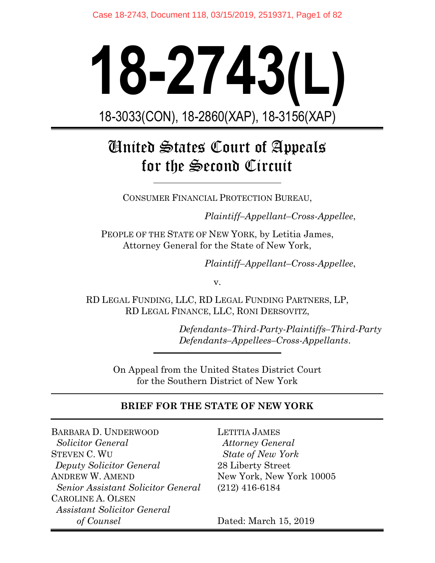# **18-2743(L)**  18-3033(CON), 18-2860(XAP), 18-3156(XAP)

# United States Court of Appeals for the Second Circuit

CONSUMER FINANCIAL PROTECTION BUREAU,

*Plaintiff–Appellant–Cross-Appellee*,

PEOPLE OF THE STATE OF NEW YORK, by Letitia James, Attorney General for the State of New York,

*Plaintiff–Appellant–Cross-Appellee*,

v.

RD LEGAL FUNDING, LLC, RD LEGAL FUNDING PARTNERS, LP, RD LEGAL FINANCE, LLC, RONI DERSOVITZ,

> *Defendants–Third-Party-Plaintiffs–Third-Party Defendants–Appellees–Cross-Appellants*.

On Appeal from the United States District Court for the Southern District of New York

### **BRIEF FOR THE STATE OF NEW YORK**

BARBARA D. UNDERWOOD  *Solicitor General* STEVEN C. WU *Deputy Solicitor General*  ANDREW W. AMEND  *Senior Assistant Solicitor General*  CAROLINE A. OLSEN *Assistant Solicitor General of Counsel*

LETITIA JAMES  *Attorney General State of New York* 28 Liberty Street New York, New York 10005 (212) 416-6184

Dated: March 15, 2019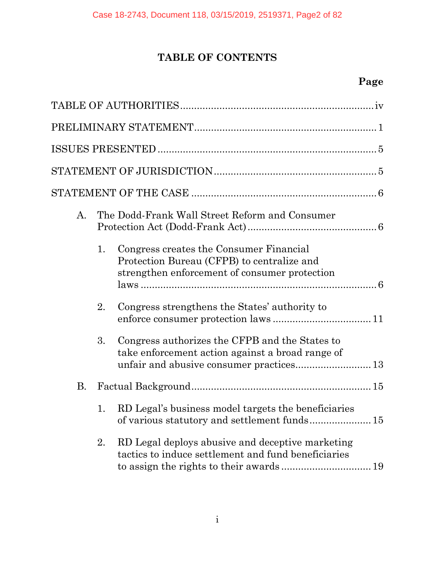# **TABLE OF CONTENTS**

## **Page**

| A.        |    | The Dodd-Frank Wall Street Reform and Consumer                                                                                                 |
|-----------|----|------------------------------------------------------------------------------------------------------------------------------------------------|
|           | 1. | Congress creates the Consumer Financial<br>Protection Bureau (CFPB) to centralize and<br>strengthen enforcement of consumer protection         |
|           | 2. | Congress strengthens the States' authority to                                                                                                  |
|           | 3. | Congress authorizes the CFPB and the States to<br>take enforcement action against a broad range of<br>unfair and abusive consumer practices 13 |
| <b>B.</b> |    |                                                                                                                                                |
|           | 1. | RD Legal's business model targets the beneficiaries<br>of various statutory and settlement funds 15                                            |
|           | 2. | RD Legal deploys abusive and deceptive marketing<br>tactics to induce settlement and fund beneficiaries                                        |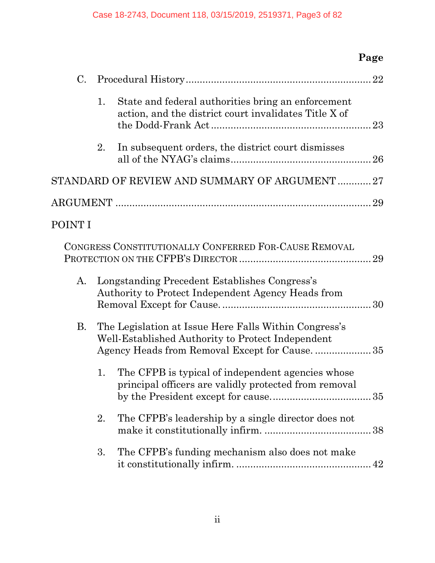# **Page**

| C.        |    |                                                                                                             |
|-----------|----|-------------------------------------------------------------------------------------------------------------|
|           | 1. | State and federal authorities bring an enforcement<br>action, and the district court invalidates Title X of |
|           | 2. | In subsequent orders, the district court dismisses                                                          |
|           |    | STANDARD OF REVIEW AND SUMMARY OF ARGUMENT27                                                                |
|           |    |                                                                                                             |
| POINT I   |    |                                                                                                             |
|           |    | CONGRESS CONSTITUTIONALLY CONFERRED FOR-CAUSE REMOVAL                                                       |
| A.        |    | Longstanding Precedent Establishes Congress's<br>Authority to Protect Independent Agency Heads from         |
| <b>B.</b> |    | The Legislation at Issue Here Falls Within Congress's<br>Well-Established Authority to Protect Independent  |
|           | 1. | The CFPB is typical of independent agencies whose<br>principal officers are validly protected from removal  |
|           | 2. | The CFPB's leadership by a single director does not                                                         |
|           | 3. | The CFPB's funding mechanism also does not make                                                             |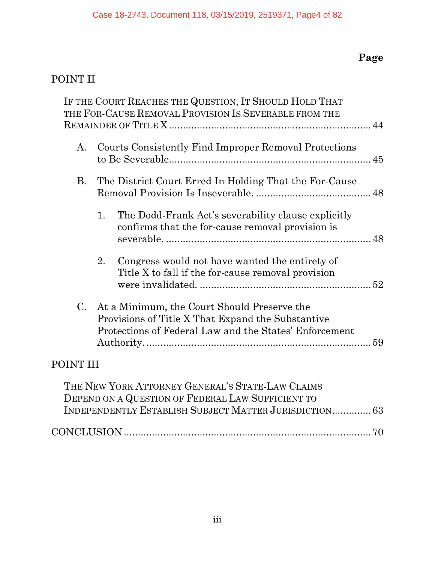# **Page**

# [POINT II](#page-54-0)

|             | IF THE COURT REACHES THE QUESTION, IT SHOULD HOLD THAT<br>THE FOR-CAUSE REMOVAL PROVISION IS SEVERABLE FROM THE                                            |  |
|-------------|------------------------------------------------------------------------------------------------------------------------------------------------------------|--|
| A.          | Courts Consistently Find Improper Removal Protections                                                                                                      |  |
| <b>B.</b>   | The District Court Erred In Holding That the For-Cause                                                                                                     |  |
|             | The Dodd-Frank Act's severability clause explicitly<br>1.<br>confirms that the for-cause removal provision is                                              |  |
|             | 2.<br>Congress would not have wanted the entirety of<br>Title X to fall if the for-cause removal provision                                                 |  |
| $C_{\cdot}$ | At a Minimum, the Court Should Preserve the<br>Provisions of Title X That Expand the Substantive<br>Protections of Federal Law and the States' Enforcement |  |
| POINT III   |                                                                                                                                                            |  |
|             | THE NEW YORK ATTORNEY GENERAL'S STATE-LAW CLAIMS                                                                                                           |  |

| - THE NEW YORK ATTORNEY GENERAL'S STATE-LAW CLAIMS     |  |
|--------------------------------------------------------|--|
| DEPEND ON A QUESTION OF FEDERAL LAW SUFFICIENT TO      |  |
| INDEPENDENTLY ESTABLISH SUBJECT MATTER JURISDICTION 63 |  |
|                                                        |  |
|                                                        |  |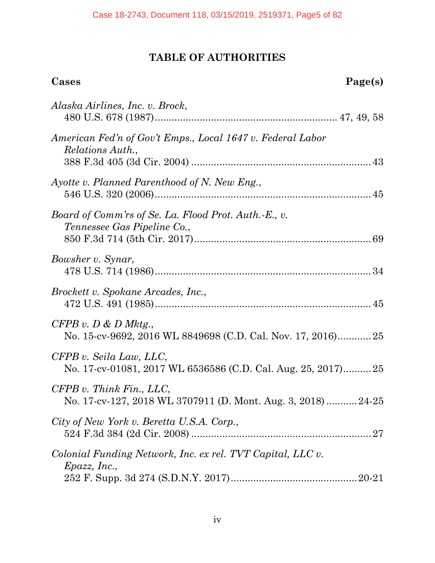# **TABLE OF AUTHORITIES**

# **Cases Page(s)**

| Alaska Airlines, Inc. v. Brock,                                                            |
|--------------------------------------------------------------------------------------------|
| American Fed'n of Gov't Emps., Local 1647 v. Federal Labor<br>Relations Auth.,             |
| Ayotte v. Planned Parenthood of N. New Eng.,                                               |
| Board of Comm'rs of Se. La. Flood Prot. Auth.-E., v.<br><i>Tennessee Gas Pipeline Co.,</i> |
| Bowsher v. Synar,                                                                          |
| Brockett v. Spokane Arcades, Inc.,                                                         |
| $CFPB$ v. $D \& D$ Mktg.,<br>No. 15-cv-9692, 2016 WL 8849698 (C.D. Cal. Nov. 17, 2016)25   |
| CFPB v. Seila Law, LLC,<br>No. 17-cv-01081, 2017 WL 6536586 (C.D. Cal. Aug. 25, 2017) 25   |
| $CFPB$ v. Think Fin., LLC,<br>No. 17-cv-127, 2018 WL 3707911 (D. Mont. Aug. 3, 2018)24-25  |
| City of New York v. Beretta U.S.A. Corp.,                                                  |
| Colonial Funding Network, Inc. ex rel. TVT Capital, LLC v.<br>Epazz, Inc.,                 |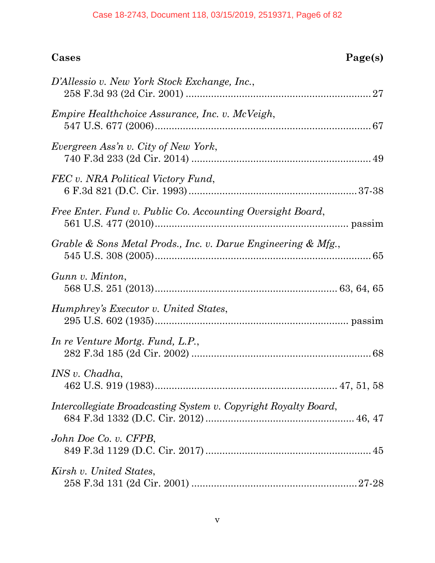#### Case 18-2743, Document 118, 03/15/2019, 2519371, Page6 of 82

| D'Allessio v. New York Stock Exchange, Inc.,                    |
|-----------------------------------------------------------------|
| <i>Empire Healthchoice Assurance, Inc. v. McVeigh,</i>          |
| Evergreen Ass'n v. City of New York,                            |
| FEC v. NRA Political Victory Fund,                              |
| Free Enter. Fund v. Public Co. Accounting Oversight Board,      |
| Grable & Sons Metal Prods., Inc. v. Darue Engineering & Mfg.,   |
| Gunn v. Minton,                                                 |
| Humphrey's Executor v. United States,                           |
| In re Venture Mortg. Fund, L.P.,                                |
| INS v. Chadha,                                                  |
| Intercollegiate Broadcasting System v. Copyright Royalty Board, |
| John Doe Co. v. CFPB,                                           |
| Kirsh v. United States,                                         |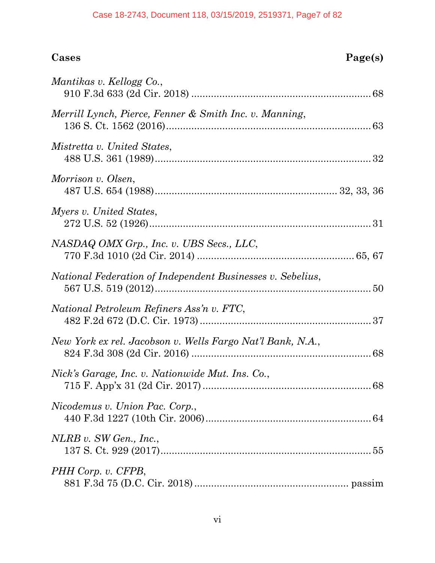#### Case 18-2743, Document 118, 03/15/2019, 2519371, Page7 of 82

# **Cases Page(s)**

| Mantikas v. Kellogg Co.,                                   |  |
|------------------------------------------------------------|--|
| Merrill Lynch, Pierce, Fenner & Smith Inc. v. Manning,     |  |
| Mistretta v. United States,                                |  |
| Morrison v. Olsen,                                         |  |
| Myers v. United States,                                    |  |
| NASDAQ OMX Grp., Inc. v. UBS Secs., LLC,                   |  |
| National Federation of Independent Businesses v. Sebelius, |  |
| National Petroleum Refiners Ass'n v. FTC,                  |  |
| New York ex rel. Jacobson v. Wells Fargo Nat'l Bank, N.A., |  |
| Nick's Garage, Inc. v. Nationwide Mut. Ins. Co.,           |  |
| Nicodemus v. Union Pac. Corp.,                             |  |
| $NLRB$ v. SW Gen., Inc.,                                   |  |
| PHH Corp. v. CFPB,                                         |  |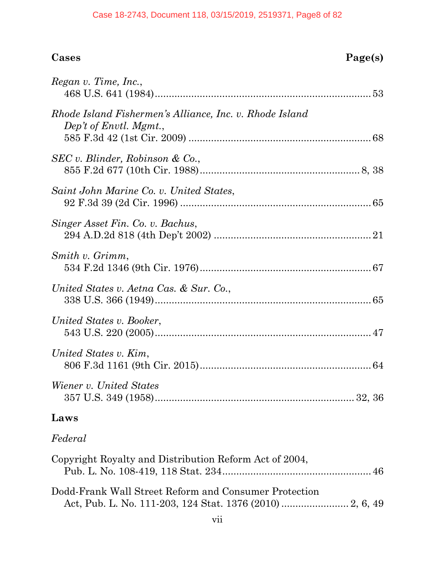# **Cases Page(s)**

| Regan v. Time, Inc.,                                                              |  |
|-----------------------------------------------------------------------------------|--|
| Rhode Island Fishermen's Alliance, Inc. v. Rhode Island<br>Dep't of Envtl. Mgmt., |  |
| SEC v. Blinder, Robinson & Co.,                                                   |  |
| Saint John Marine Co. v. United States,                                           |  |
| Singer Asset Fin. Co. v. Bachus,                                                  |  |
| Smith v. Grimm,                                                                   |  |
| United States v. Aetna Cas. & Sur. Co.,                                           |  |
| United States v. Booker,                                                          |  |
| United States v. Kim,                                                             |  |
| Wiener v. United States                                                           |  |

# **Laws**

# *Federal*

| Copyright Royalty and Distribution Reform Act of 2004, |  |
|--------------------------------------------------------|--|
|                                                        |  |
|                                                        |  |
| Dodd-Frank Wall Street Reform and Consumer Protection  |  |
|                                                        |  |
|                                                        |  |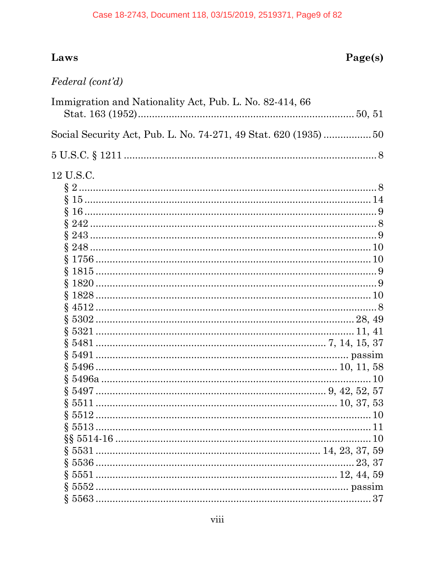# Laws

# Federal (cont'd)

| Immigration and Nationality Act, Pub. L. No. 82-414, 66          |  |
|------------------------------------------------------------------|--|
|                                                                  |  |
| Social Security Act, Pub. L. No. 74-271, 49 Stat. 620 (1935)  50 |  |
| $5 \text{ U.S.C.} \S 1211 \dots 8$                               |  |
| 12 U.S.C.                                                        |  |
|                                                                  |  |
|                                                                  |  |
|                                                                  |  |
|                                                                  |  |
|                                                                  |  |
|                                                                  |  |
|                                                                  |  |
|                                                                  |  |
|                                                                  |  |
|                                                                  |  |
|                                                                  |  |
|                                                                  |  |
|                                                                  |  |
|                                                                  |  |
|                                                                  |  |
|                                                                  |  |
|                                                                  |  |
|                                                                  |  |
|                                                                  |  |
|                                                                  |  |
|                                                                  |  |
|                                                                  |  |
|                                                                  |  |
|                                                                  |  |
|                                                                  |  |
|                                                                  |  |
|                                                                  |  |
|                                                                  |  |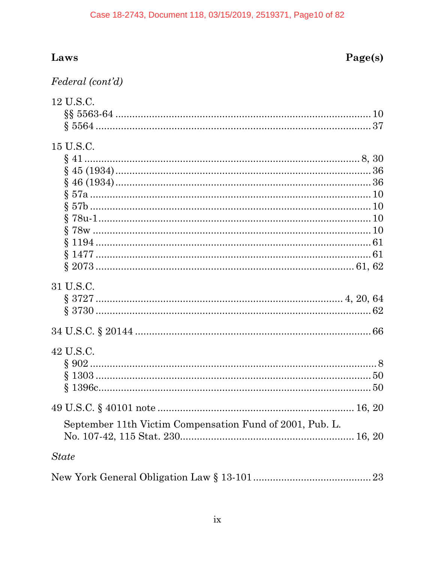#### Case 18-2743, Document 118, 03/15/2019, 2519371, Page10 of 82

# Laws

# Page(s)

| Federal (cont'd) |  |
|------------------|--|
|------------------|--|

| 12 U.S.C.                                                |  |
|----------------------------------------------------------|--|
|                                                          |  |
|                                                          |  |
|                                                          |  |
| 15 U.S.C.                                                |  |
|                                                          |  |
|                                                          |  |
|                                                          |  |
|                                                          |  |
|                                                          |  |
|                                                          |  |
|                                                          |  |
|                                                          |  |
|                                                          |  |
|                                                          |  |
| 31 U.S.C.                                                |  |
|                                                          |  |
|                                                          |  |
|                                                          |  |
|                                                          |  |
|                                                          |  |
| 42 U.S.C.                                                |  |
|                                                          |  |
|                                                          |  |
|                                                          |  |
|                                                          |  |
|                                                          |  |
| September 11th Victim Compensation Fund of 2001, Pub. L. |  |
| <b>State</b>                                             |  |
|                                                          |  |
|                                                          |  |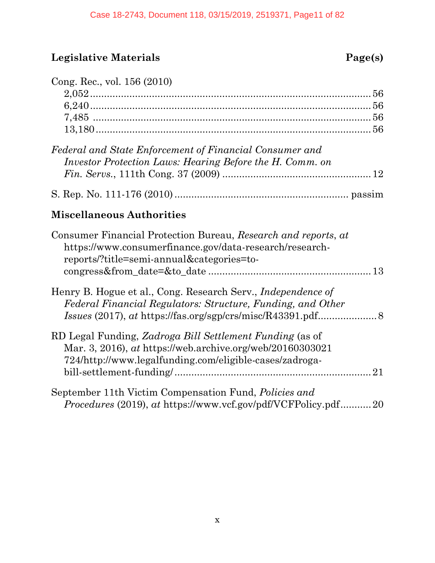# **Legislative Materials Page(s)**

| Cong. Rec., vol. 156 (2010)                                                                                                                                                            |
|----------------------------------------------------------------------------------------------------------------------------------------------------------------------------------------|
| Federal and State Enforcement of Financial Consumer and<br>Investor Protection Laws: Hearing Before the H. Comm. on                                                                    |
|                                                                                                                                                                                        |
| <b>Miscellaneous Authorities</b>                                                                                                                                                       |
| Consumer Financial Protection Bureau, Research and reports, at<br>https://www.consumerfinance.gov/data-research/research-<br>reports/?title=semi-annual&categories=to-                 |
| Henry B. Hogue et al., Cong. Research Serv., <i>Independence of</i><br>Federal Financial Regulators: Structure, Funding, and Other                                                     |
| RD Legal Funding, Zadroga Bill Settlement Funding (as of<br>Mar. 3, 2016), at https://web.archive.org/web/20160303021<br>724/http://www.legalfunding.com/eligible-cases/zadroga-<br>21 |
| September 11th Victim Compensation Fund, Policies and<br><i>Procedures</i> (2019), at https://www.vcf.gov/pdf/VCFPolicy.pdf20                                                          |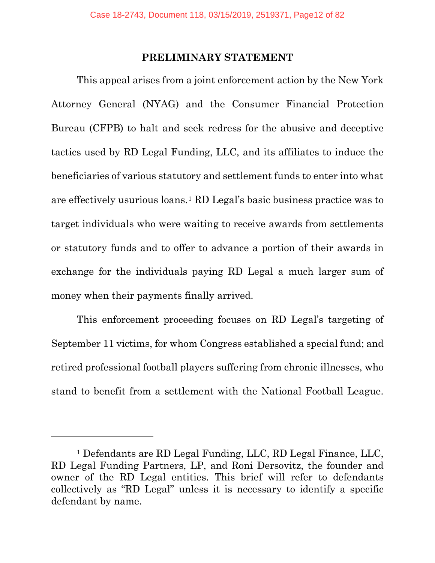#### **PRELIMINARY STATEMENT**

<span id="page-11-0"></span>This appeal arises from a joint enforcement action by the New York Attorney General (NYAG) and the Consumer Financial Protection Bureau (CFPB) to halt and seek redress for the abusive and deceptive tactics used by RD Legal Funding, LLC, and its affiliates to induce the beneficiaries of various statutory and settlement funds to enter into what are effectively usurious loans.[1](#page-11-1) RD Legal's basic business practice was to target individuals who were waiting to receive awards from settlements or statutory funds and to offer to advance a portion of their awards in exchange for the individuals paying RD Legal a much larger sum of money when their payments finally arrived.

This enforcement proceeding focuses on RD Legal's targeting of September 11 victims, for whom Congress established a special fund; and retired professional football players suffering from chronic illnesses, who stand to benefit from a settlement with the National Football League.

<span id="page-11-1"></span><sup>1</sup> Defendants are RD Legal Funding, LLC, RD Legal Finance, LLC, RD Legal Funding Partners, LP, and Roni Dersovitz, the founder and owner of the RD Legal entities. This brief will refer to defendants collectively as "RD Legal" unless it is necessary to identify a specific defendant by name.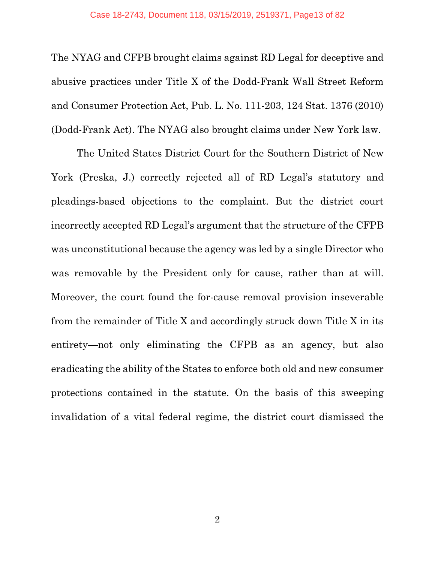The NYAG and CFPB brought claims against RD Legal for deceptive and abusive practices under Title X of the Dodd-Frank Wall Street Reform and Consumer Protection Act, Pub. L. No. 111-203, 124 Stat. 1376 (2010) (Dodd-Frank Act). The NYAG also brought claims under New York law.

The United States District Court for the Southern District of New York (Preska, J.) correctly rejected all of RD Legal's statutory and pleadings-based objections to the complaint. But the district court incorrectly accepted RD Legal's argument that the structure of the CFPB was unconstitutional because the agency was led by a single Director who was removable by the President only for cause, rather than at will. Moreover, the court found the for-cause removal provision inseverable from the remainder of Title X and accordingly struck down Title X in its entirety—not only eliminating the CFPB as an agency, but also eradicating the ability of the States to enforce both old and new consumer protections contained in the statute. On the basis of this sweeping invalidation of a vital federal regime, the district court dismissed the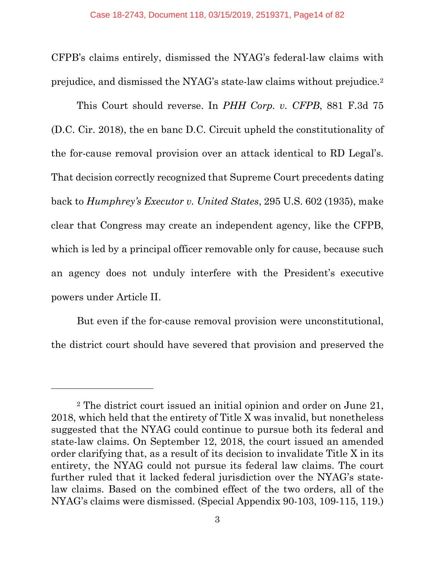CFPB's claims entirely, dismissed the NYAG's federal-law claims with prejudice, and dismissed the NYAG's state-law claims without prejudice.[2](#page-13-0)

This Court should reverse. In *PHH Corp. v. CFPB*, 881 F.3d 75 (D.C. Cir. 2018), the en banc D.C. Circuit upheld the constitutionality of the for-cause removal provision over an attack identical to RD Legal's. That decision correctly recognized that Supreme Court precedents dating back to *Humphrey's Executor v. United States*, 295 U.S. 602 (1935), make clear that Congress may create an independent agency, like the CFPB, which is led by a principal officer removable only for cause, because such an agency does not unduly interfere with the President's executive powers under Article II.

But even if the for-cause removal provision were unconstitutional, the district court should have severed that provision and preserved the

<span id="page-13-0"></span><sup>2</sup> The district court issued an initial opinion and order on June 21, 2018, which held that the entirety of Title X was invalid, but nonetheless suggested that the NYAG could continue to pursue both its federal and state-law claims. On September 12, 2018, the court issued an amended order clarifying that, as a result of its decision to invalidate Title X in its entirety, the NYAG could not pursue its federal law claims. The court further ruled that it lacked federal jurisdiction over the NYAG's statelaw claims. Based on the combined effect of the two orders, all of the NYAG's claims were dismissed. (Special Appendix 90-103, 109-115, 119.)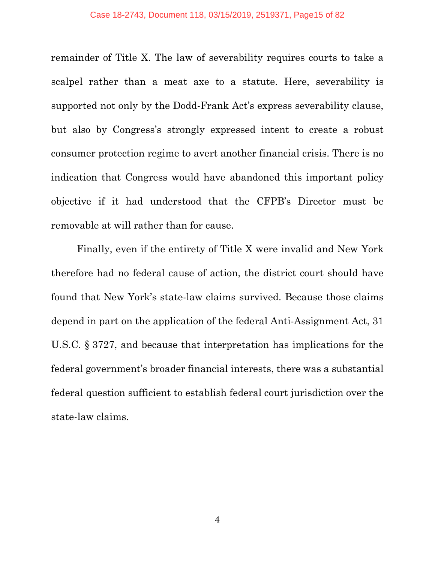remainder of Title X. The law of severability requires courts to take a scalpel rather than a meat axe to a statute. Here, severability is supported not only by the Dodd-Frank Act's express severability clause, but also by Congress's strongly expressed intent to create a robust consumer protection regime to avert another financial crisis. There is no indication that Congress would have abandoned this important policy objective if it had understood that the CFPB's Director must be removable at will rather than for cause.

Finally, even if the entirety of Title X were invalid and New York therefore had no federal cause of action, the district court should have found that New York's state-law claims survived. Because those claims depend in part on the application of the federal Anti-Assignment Act, 31 U.S.C. § 3727, and because that interpretation has implications for the federal government's broader financial interests, there was a substantial federal question sufficient to establish federal court jurisdiction over the state-law claims.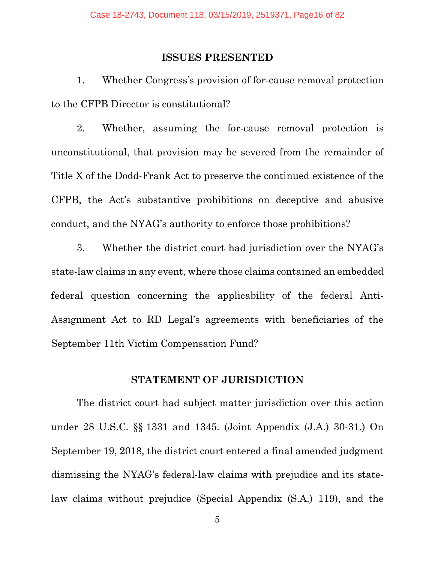#### **ISSUES PRESENTED**

<span id="page-15-0"></span>1. Whether Congress's provision of for-cause removal protection to the CFPB Director is constitutional?

2. Whether, assuming the for-cause removal protection is unconstitutional, that provision may be severed from the remainder of Title X of the Dodd-Frank Act to preserve the continued existence of the CFPB, the Act's substantive prohibitions on deceptive and abusive conduct, and the NYAG's authority to enforce those prohibitions?

3. Whether the district court had jurisdiction over the NYAG's state-law claims in any event, where those claims contained an embedded federal question concerning the applicability of the federal Anti-Assignment Act to RD Legal's agreements with beneficiaries of the September 11th Victim Compensation Fund?

#### **STATEMENT OF JURISDICTION**

<span id="page-15-1"></span>The district court had subject matter jurisdiction over this action under 28 U.S.C. §§ 1331 and 1345. (Joint Appendix (J.A.) 30-31.) On September 19, 2018, the district court entered a final amended judgment dismissing the NYAG's federal-law claims with prejudice and its statelaw claims without prejudice (Special Appendix (S.A.) 119), and the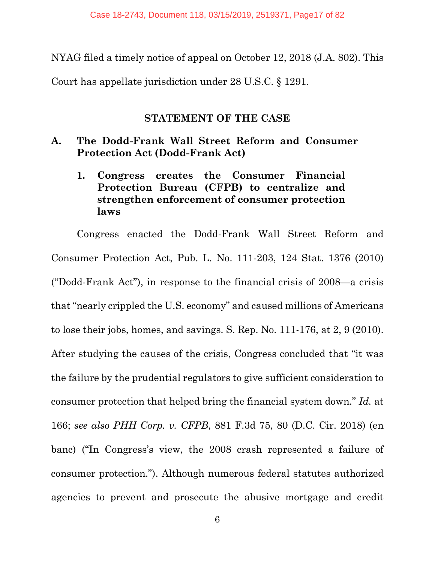NYAG filed a timely notice of appeal on October 12, 2018 (J.A. 802). This Court has appellate jurisdiction under 28 U.S.C. § 1291.

#### **STATEMENT OF THE CASE**

#### <span id="page-16-2"></span><span id="page-16-1"></span><span id="page-16-0"></span>**A. The Dodd-Frank Wall Street Reform and Consumer Protection Act (Dodd-Frank Act)**

### **1. Congress creates the Consumer Financial Protection Bureau (CFPB) to centralize and strengthen enforcement of consumer protection laws**

Congress enacted the Dodd-Frank Wall Street Reform and Consumer Protection Act, Pub. L. No. 111-203, 124 Stat. 1376 (2010) ("Dodd-Frank Act"), in response to the financial crisis of 2008—a crisis that "nearly crippled the U.S. economy" and caused millions of Americans to lose their jobs, homes, and savings. S. Rep. No. 111-176, at 2, 9 (2010). After studying the causes of the crisis, Congress concluded that "it was the failure by the prudential regulators to give sufficient consideration to consumer protection that helped bring the financial system down." *Id.* at 166; *see also PHH Corp. v. CFPB*, 881 F.3d 75, 80 (D.C. Cir. 2018) (en banc) ("In Congress's view, the 2008 crash represented a failure of consumer protection."). Although numerous federal statutes authorized agencies to prevent and prosecute the abusive mortgage and credit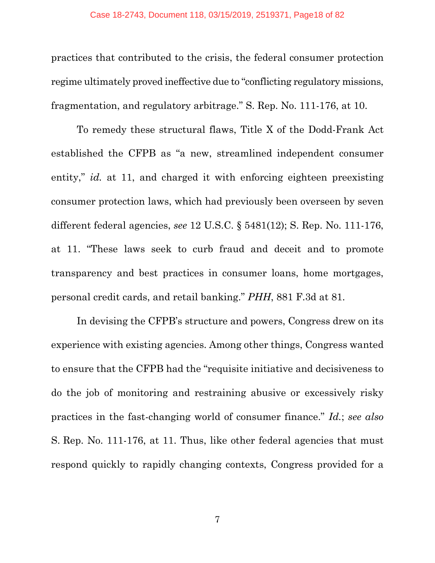practices that contributed to the crisis, the federal consumer protection regime ultimately proved ineffective due to "conflicting regulatory missions, fragmentation, and regulatory arbitrage." S. Rep. No. 111-176, at 10.

To remedy these structural flaws, Title X of the Dodd-Frank Act established the CFPB as "a new, streamlined independent consumer entity," *id.* at 11, and charged it with enforcing eighteen preexisting consumer protection laws, which had previously been overseen by seven different federal agencies, *see* 12 U.S.C. § 5481(12); S. Rep. No. 111-176, at 11. "These laws seek to curb fraud and deceit and to promote transparency and best practices in consumer loans, home mortgages, personal credit cards, and retail banking." *PHH*, 881 F.3d at 81.

In devising the CFPB's structure and powers, Congress drew on its experience with existing agencies. Among other things, Congress wanted to ensure that the CFPB had the "requisite initiative and decisiveness to do the job of monitoring and restraining abusive or excessively risky practices in the fast-changing world of consumer finance." *Id.*; *see also*  S. Rep. No. 111-176, at 11. Thus, like other federal agencies that must respond quickly to rapidly changing contexts, Congress provided for a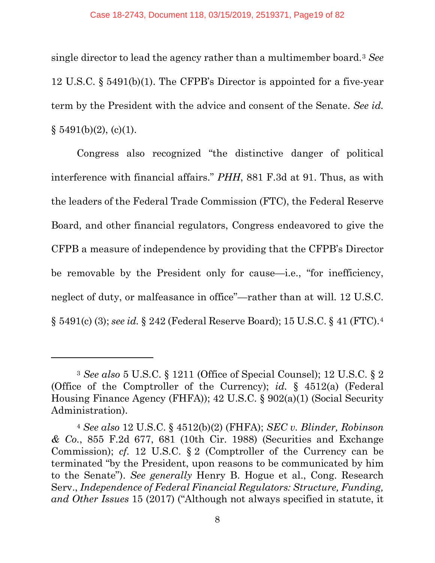single director to lead the agency rather than a multimember board.[3](#page-18-0) *See* 12 U.S.C. § 5491(b)(1). The CFPB's Director is appointed for a five-year term by the President with the advice and consent of the Senate. *See id.*  $§ 5491(b)(2), (c)(1).$ 

Congress also recognized "the distinctive danger of political interference with financial affairs." *PHH*, 881 F.3d at 91. Thus, as with the leaders of the Federal Trade Commission (FTC), the Federal Reserve Board, and other financial regulators, Congress endeavored to give the CFPB a measure of independence by providing that the CFPB's Director be removable by the President only for cause—i.e., "for inefficiency, neglect of duty, or malfeasance in office"—rather than at will. 12 U.S.C. § 5491(c) (3); *see id.* § 242 (Federal Reserve Board); 15 U.S.C. § 41 (FTC).[4](#page-18-1)

<span id="page-18-0"></span><sup>3</sup> *See also* 5 U.S.C. § 1211 (Office of Special Counsel); 12 U.S.C. § 2 (Office of the Comptroller of the Currency); *id.* § 4512(a) (Federal Housing Finance Agency (FHFA)); 42 U.S.C. § 902(a)(1) (Social Security Administration).

<span id="page-18-1"></span><sup>4</sup> *See also* 12 U.S.C. § 4512(b)(2) (FHFA); *SEC v. Blinder, Robinson & Co.*, 855 F.2d 677, 681 (10th Cir. 1988) (Securities and Exchange Commission); *cf.* 12 U.S.C. § 2 (Comptroller of the Currency can be terminated "by the President, upon reasons to be communicated by him to the Senate"). *See generally* Henry B. Hogue et al., Cong. Research Serv., *Independence of Federal Financial Regulators: Structure, Funding, and Other Issues* 15 (2017) ("Although not always specified in statute, it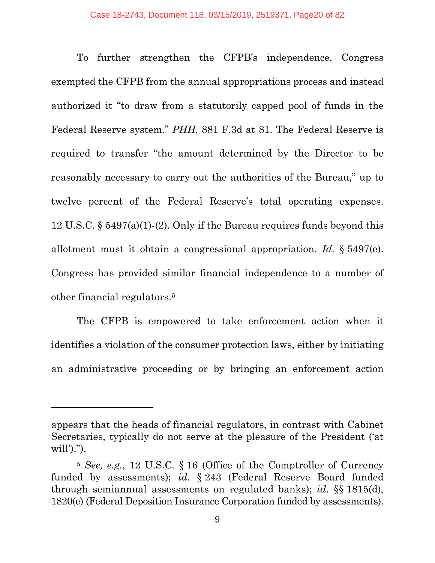To further strengthen the CFPB's independence, Congress exempted the CFPB from the annual appropriations process and instead authorized it "to draw from a statutorily capped pool of funds in the Federal Reserve system." *PHH*, 881 F.3d at 81. The Federal Reserve is required to transfer "the amount determined by the Director to be reasonably necessary to carry out the authorities of the Bureau," up to twelve percent of the Federal Reserve's total operating expenses. 12 U.S.C. § 5497(a)(1)-(2). Only if the Bureau requires funds beyond this allotment must it obtain a congressional appropriation. *Id.* § 5497(e). Congress has provided similar financial independence to a number of other financial regulators.[5](#page-19-0) 

The CFPB is empowered to take enforcement action when it identifies a violation of the consumer protection laws, either by initiating an administrative proceeding or by bringing an enforcement action

appears that the heads of financial regulators, in contrast with Cabinet Secretaries, typically do not serve at the pleasure of the President ('at will').").

<span id="page-19-0"></span><sup>5</sup> *See, e.g.*, 12 U.S.C. § 16 (Office of the Comptroller of Currency funded by assessments); *id.* § 243 (Federal Reserve Board funded through semiannual assessments on regulated banks); *id*. §§ 1815(d), 1820(e) (Federal Deposition Insurance Corporation funded by assessments).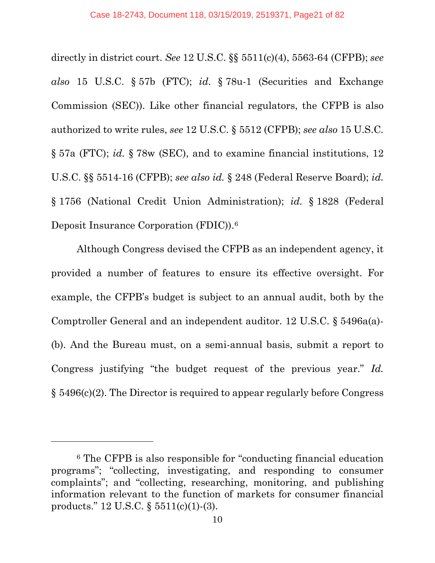directly in district court. *See* 12 U.S.C. §§ 5511(c)(4), 5563-64 (CFPB); *see also* 15 U.S.C. § 57b (FTC); *id*. § 78u-1 (Securities and Exchange Commission (SEC)). Like other financial regulators, the CFPB is also authorized to write rules, *see* 12 U.S.C. § 5512 (CFPB); *see also* 15 U.S.C. § 57a (FTC); *id.* § 78w (SEC), and to examine financial institutions, 12 U.S.C. §§ 5514-16 (CFPB); *see also id.* § 248 (Federal Reserve Board); *id.* § 1756 (National Credit Union Administration); *id.* § 1828 (Federal Deposit Insurance Corporation (FDIC)).[6](#page-20-0)

Although Congress devised the CFPB as an independent agency, it provided a number of features to ensure its effective oversight. For example, the CFPB's budget is subject to an annual audit, both by the Comptroller General and an independent auditor. 12 U.S.C. § 5496a(a)- (b). And the Bureau must, on a semi-annual basis, submit a report to Congress justifying "the budget request of the previous year." *Id.* § 5496(c)(2). The Director is required to appear regularly before Congress

<span id="page-20-0"></span><sup>6</sup> The CFPB is also responsible for "conducting financial education programs"; "collecting, investigating, and responding to consumer complaints"; and "collecting, researching, monitoring, and publishing information relevant to the function of markets for consumer financial products." 12 U.S.C. § 5511(c)(1)-(3).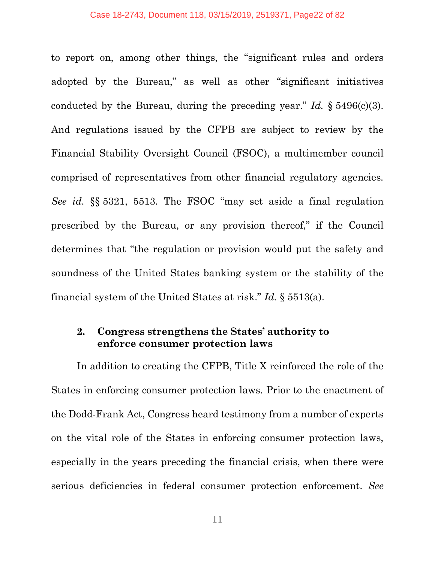to report on, among other things, the "significant rules and orders adopted by the Bureau," as well as other "significant initiatives conducted by the Bureau, during the preceding year." *Id.* § 5496(c)(3). And regulations issued by the CFPB are subject to review by the Financial Stability Oversight Council (FSOC), a multimember council comprised of representatives from other financial regulatory agencies*. See id.* §§ 5321, 5513. The FSOC "may set aside a final regulation prescribed by the Bureau, or any provision thereof," if the Council determines that "the regulation or provision would put the safety and soundness of the United States banking system or the stability of the financial system of the United States at risk." *Id.* § 5513(a).

#### <span id="page-21-0"></span>**2. Congress strengthens the States' authority to enforce consumer protection laws**

In addition to creating the CFPB, Title X reinforced the role of the States in enforcing consumer protection laws. Prior to the enactment of the Dodd-Frank Act, Congress heard testimony from a number of experts on the vital role of the States in enforcing consumer protection laws, especially in the years preceding the financial crisis, when there were serious deficiencies in federal consumer protection enforcement. *See*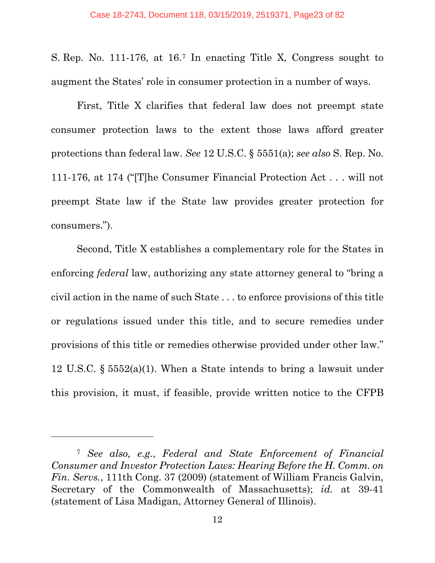S. Rep. No. 111-176, at 16[.7](#page-22-0) In enacting Title X, Congress sought to augment the States' role in consumer protection in a number of ways.

First, Title X clarifies that federal law does not preempt state consumer protection laws to the extent those laws afford greater protections than federal law. *See* 12 U.S.C. § 5551(a); *see also* S. Rep. No. 111-176, at 174 ("[T]he Consumer Financial Protection Act . . . will not preempt State law if the State law provides greater protection for consumers.").

Second, Title X establishes a complementary role for the States in enforcing *federal* law, authorizing any state attorney general to "bring a civil action in the name of such State . . . to enforce provisions of this title or regulations issued under this title, and to secure remedies under provisions of this title or remedies otherwise provided under other law." 12 U.S.C. § 5552(a)(1). When a State intends to bring a lawsuit under this provision, it must, if feasible, provide written notice to the CFPB

<span id="page-22-0"></span><sup>7</sup> *See also, e.g.*, *Federal and State Enforcement of Financial Consumer and Investor Protection Laws: Hearing Before the H. Comm. on Fin. Servs.*, 111th Cong. 37 (2009) (statement of William Francis Galvin, Secretary of the Commonwealth of Massachusetts); *id.* at 39-41 (statement of Lisa Madigan, Attorney General of Illinois).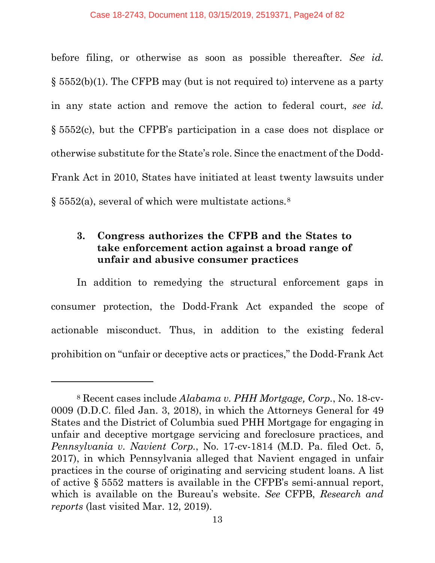before filing, or otherwise as soon as possible thereafter. *See id.* § 5552(b)(1). The CFPB may (but is not required to) intervene as a party in any state action and remove the action to federal court, *see id.*  § 5552(c), but the CFPB's participation in a case does not displace or otherwise substitute for the State's role. Since the enactment of the Dodd-Frank Act in 2010, States have initiated at least twenty lawsuits under § 5552(a), several of which were multistate actions.[8](#page-23-1)

#### <span id="page-23-0"></span>**3. Congress authorizes the CFPB and the States to take enforcement action against a broad range of unfair and abusive consumer practices**

In addition to remedying the structural enforcement gaps in consumer protection, the Dodd-Frank Act expanded the scope of actionable misconduct. Thus, in addition to the existing federal prohibition on "unfair or deceptive acts or practices," the Dodd-Frank Act

<span id="page-23-1"></span><sup>8</sup> Recent cases include *Alabama v. PHH Mortgage, Corp.*, No. 18-cv-0009 (D.D.C. filed Jan. 3, 2018), in which the Attorneys General for 49 States and the District of Columbia sued PHH Mortgage for engaging in unfair and deceptive mortgage servicing and foreclosure practices, and *Pennsylvania v. Navient Corp.*, No. 17-cv-1814 (M.D. Pa. filed Oct. 5, 2017), in which Pennsylvania alleged that Navient engaged in unfair practices in the course of originating and servicing student loans. A list of active § 5552 matters is available in the CFPB's semi-annual report, which is available on the Bureau's website. *See* CFPB, *Research and reports* (last visited Mar. 12, 2019).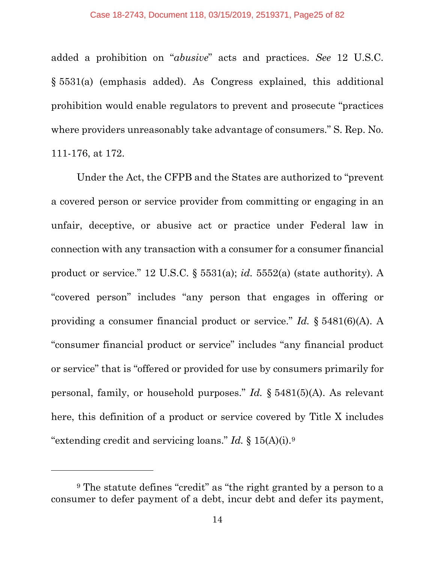added a prohibition on "*abusive*" acts and practices. *See* 12 U.S.C. § 5531(a) (emphasis added). As Congress explained, this additional prohibition would enable regulators to prevent and prosecute "practices where providers unreasonably take advantage of consumers." S. Rep. No. 111-176, at 172.

Under the Act, the CFPB and the States are authorized to "prevent a covered person or service provider from committing or engaging in an unfair, deceptive, or abusive act or practice under Federal law in connection with any transaction with a consumer for a consumer financial product or service." 12 U.S.C. § 5531(a); *id.* 5552(a) (state authority). A "covered person" includes "any person that engages in offering or providing a consumer financial product or service." *Id.* § 5481(6)(A). A "consumer financial product or service" includes "any financial product or service" that is "offered or provided for use by consumers primarily for personal, family, or household purposes." *Id.* § 5481(5)(A). As relevant here, this definition of a product or service covered by Title X includes "extending credit and servicing loans." *Id.* § 15(A)(i).[9](#page-24-0)

<span id="page-24-0"></span><sup>9</sup> The statute defines "credit" as "the right granted by a person to a consumer to defer payment of a debt, incur debt and defer its payment,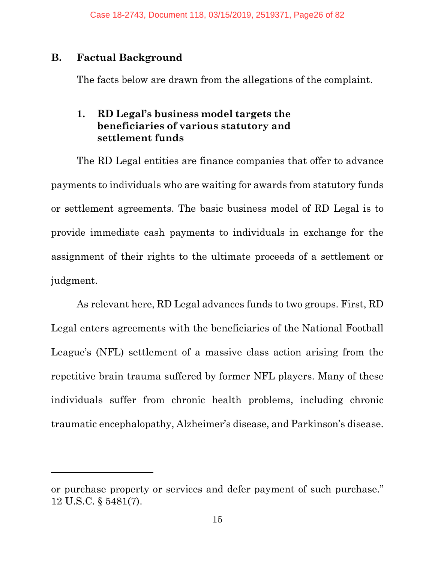#### <span id="page-25-0"></span>**B. Factual Background**

 $\overline{a}$ 

The facts below are drawn from the allegations of the complaint.

#### <span id="page-25-1"></span>**1. RD Legal's business model targets the beneficiaries of various statutory and settlement funds**

The RD Legal entities are finance companies that offer to advance payments to individuals who are waiting for awards from statutory funds or settlement agreements. The basic business model of RD Legal is to provide immediate cash payments to individuals in exchange for the assignment of their rights to the ultimate proceeds of a settlement or judgment.

As relevant here, RD Legal advances funds to two groups. First, RD Legal enters agreements with the beneficiaries of the National Football League's (NFL) settlement of a massive class action arising from the repetitive brain trauma suffered by former NFL players. Many of these individuals suffer from chronic health problems, including chronic traumatic encephalopathy, Alzheimer's disease, and Parkinson's disease.

or purchase property or services and defer payment of such purchase." 12 U.S.C. § 5481(7).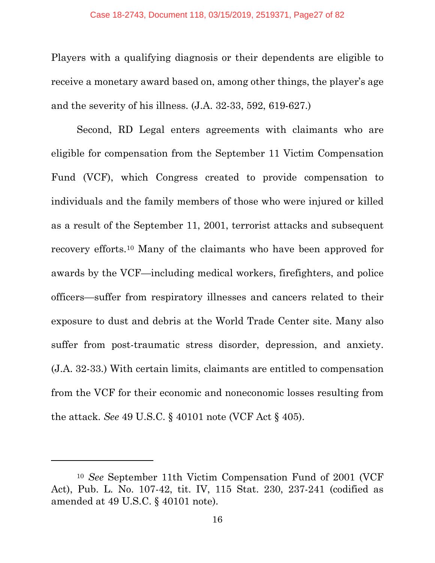Players with a qualifying diagnosis or their dependents are eligible to receive a monetary award based on, among other things, the player's age and the severity of his illness. (J.A. 32-33, 592, 619-627.)

Second, RD Legal enters agreements with claimants who are eligible for compensation from the September 11 Victim Compensation Fund (VCF), which Congress created to provide compensation to individuals and the family members of those who were injured or killed as a result of the September 11, 2001, terrorist attacks and subsequent recovery efforts[.10](#page-26-0) Many of the claimants who have been approved for awards by the VCF—including medical workers, firefighters, and police officers—suffer from respiratory illnesses and cancers related to their exposure to dust and debris at the World Trade Center site. Many also suffer from post-traumatic stress disorder, depression, and anxiety. (J.A. 32-33.) With certain limits, claimants are entitled to compensation from the VCF for their economic and noneconomic losses resulting from the attack. *See* 49 U.S.C. § 40101 note (VCF Act § 405).

<span id="page-26-0"></span><sup>10</sup> *See* September 11th Victim Compensation Fund of 2001 (VCF Act), Pub. L. No. 107-42, tit. IV, 115 Stat. 230, 237-241 (codified as amended at 49 U.S.C. § 40101 note).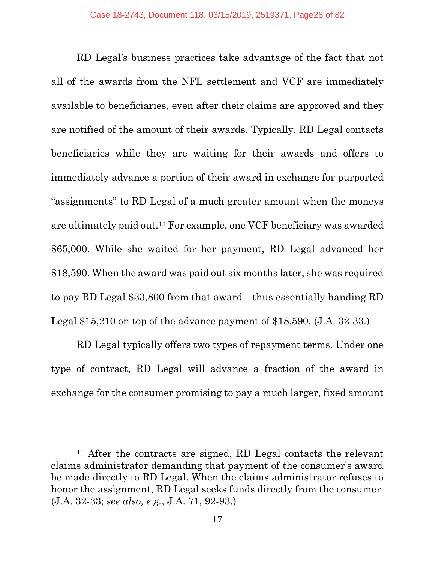RD Legal's business practices take advantage of the fact that not all of the awards from the NFL settlement and VCF are immediately available to beneficiaries, even after their claims are approved and they are notified of the amount of their awards. Typically, RD Legal contacts beneficiaries while they are waiting for their awards and offers to immediately advance a portion of their award in exchange for purported "assignments" to RD Legal of a much greater amount when the moneys are ultimately paid out.[11](#page-27-0) For example, one VCF beneficiary was awarded \$65,000. While she waited for her payment, RD Legal advanced her \$18,590. When the award was paid out six months later, she was required to pay RD Legal \$33,800 from that award—thus essentially handing RD Legal \$15,210 on top of the advance payment of \$18,590. (J.A. 32-33.)

RD Legal typically offers two types of repayment terms. Under one type of contract, RD Legal will advance a fraction of the award in exchange for the consumer promising to pay a much larger, fixed amount

<span id="page-27-0"></span><sup>11</sup> After the contracts are signed, RD Legal contacts the relevant claims administrator demanding that payment of the consumer's award be made directly to RD Legal. When the claims administrator refuses to honor the assignment, RD Legal seeks funds directly from the consumer. (J.A. 32-33; *see also, e.g.*, J.A. 71, 92-93.)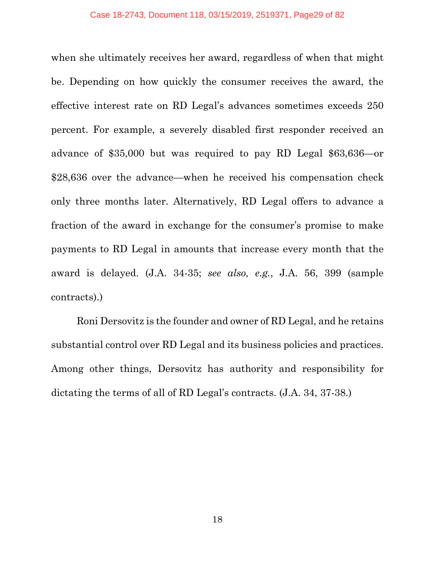when she ultimately receives her award, regardless of when that might be. Depending on how quickly the consumer receives the award, the effective interest rate on RD Legal's advances sometimes exceeds 250 percent. For example, a severely disabled first responder received an advance of \$35,000 but was required to pay RD Legal \$63,636—or \$28,636 over the advance—when he received his compensation check only three months later. Alternatively, RD Legal offers to advance a fraction of the award in exchange for the consumer's promise to make payments to RD Legal in amounts that increase every month that the award is delayed. (J.A. 34-35; *see also, e.g.*, J.A. 56, 399 (sample contracts).)

Roni Dersovitz is the founder and owner of RD Legal, and he retains substantial control over RD Legal and its business policies and practices. Among other things, Dersovitz has authority and responsibility for dictating the terms of all of RD Legal's contracts. (J.A. 34, 37-38.)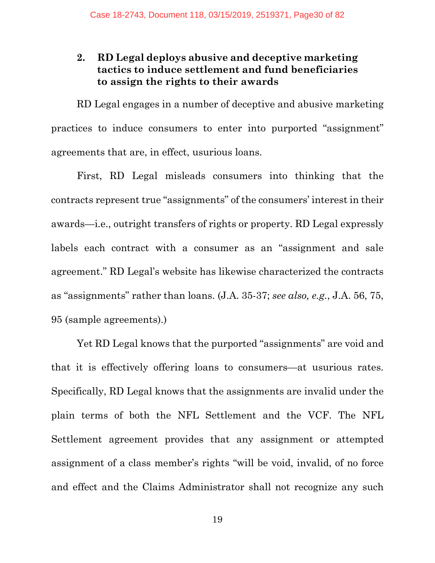### <span id="page-29-0"></span>**2. RD Legal deploys abusive and deceptive marketing tactics to induce settlement and fund beneficiaries to assign the rights to their awards**

RD Legal engages in a number of deceptive and abusive marketing practices to induce consumers to enter into purported "assignment" agreements that are, in effect, usurious loans.

First, RD Legal misleads consumers into thinking that the contracts represent true "assignments" of the consumers' interest in their awards—i.e., outright transfers of rights or property. RD Legal expressly labels each contract with a consumer as an "assignment and sale agreement." RD Legal's website has likewise characterized the contracts as "assignments" rather than loans. (J.A. 35-37; *see also, e.g.*, J.A. 56, 75, 95 (sample agreements).)

Yet RD Legal knows that the purported "assignments" are void and that it is effectively offering loans to consumers—at usurious rates. Specifically, RD Legal knows that the assignments are invalid under the plain terms of both the NFL Settlement and the VCF. The NFL Settlement agreement provides that any assignment or attempted assignment of a class member's rights "will be void, invalid, of no force and effect and the Claims Administrator shall not recognize any such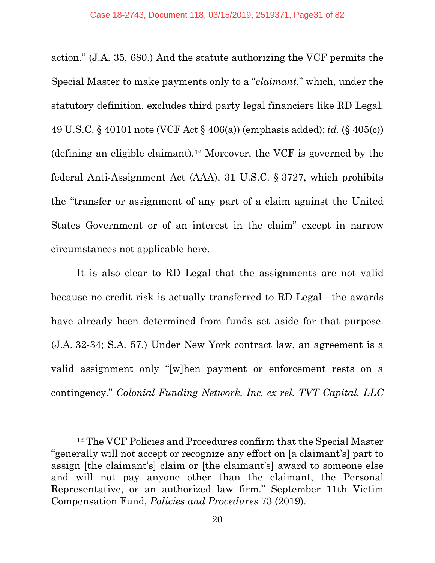action." (J.A. 35, 680.) And the statute authorizing the VCF permits the Special Master to make payments only to a "*claimant*," which, under the statutory definition, excludes third party legal financiers like RD Legal. 49 U.S.C. § 40101 note (VCF Act § 406(a)) (emphasis added); *id.* (§ 405(c)) (defining an eligible claimant).[12](#page-30-0) Moreover, the VCF is governed by the federal Anti-Assignment Act (AAA), 31 U.S.C. § 3727, which prohibits the "transfer or assignment of any part of a claim against the United States Government or of an interest in the claim" except in narrow circumstances not applicable here.

It is also clear to RD Legal that the assignments are not valid because no credit risk is actually transferred to RD Legal—the awards have already been determined from funds set aside for that purpose. (J.A. 32-34; S.A. 57.) Under New York contract law, an agreement is a valid assignment only "[w]hen payment or enforcement rests on a contingency." *Colonial Funding Network, Inc. ex rel. TVT Capital, LLC* 

<span id="page-30-0"></span><sup>12</sup> The VCF Policies and Procedures confirm that the Special Master "generally will not accept or recognize any effort on [a claimant's] part to assign [the claimant's] claim or [the claimant's] award to someone else and will not pay anyone other than the claimant, the Personal Representative, or an authorized law firm." September 11th Victim Compensation Fund, *Policies and Procedures* 73 (2019).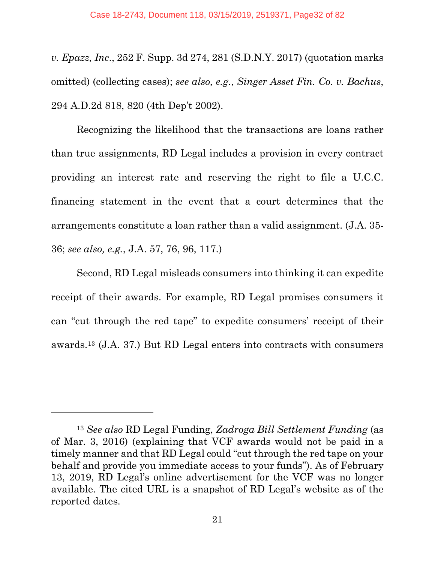*v. Epazz, Inc*., 252 F. Supp. 3d 274, 281 (S.D.N.Y. 2017) (quotation marks omitted) (collecting cases); *see also, e.g.*, *Singer Asset Fin. Co. v. Bachus*, 294 A.D.2d 818, 820 (4th Dep't 2002).

Recognizing the likelihood that the transactions are loans rather than true assignments, RD Legal includes a provision in every contract providing an interest rate and reserving the right to file a U.C.C. financing statement in the event that a court determines that the arrangements constitute a loan rather than a valid assignment. (J.A. 35- 36; *see also, e.g.*, J.A. 57, 76, 96, 117.)

Second, RD Legal misleads consumers into thinking it can expedite receipt of their awards. For example, RD Legal promises consumers it can "cut through the red tape" to expedite consumers' receipt of their awards.[13](#page-31-0) (J.A. 37.) But RD Legal enters into contracts with consumers

<span id="page-31-0"></span><sup>13</sup> *See also* RD Legal Funding, *Zadroga Bill Settlement Funding* (as of Mar. 3, 2016) (explaining that VCF awards would not be paid in a timely manner and that RD Legal could "cut through the red tape on your behalf and provide you immediate access to your funds"). As of February 13, 2019, RD Legal's online advertisement for the VCF was no longer available. The cited URL is a snapshot of RD Legal's website as of the reported dates.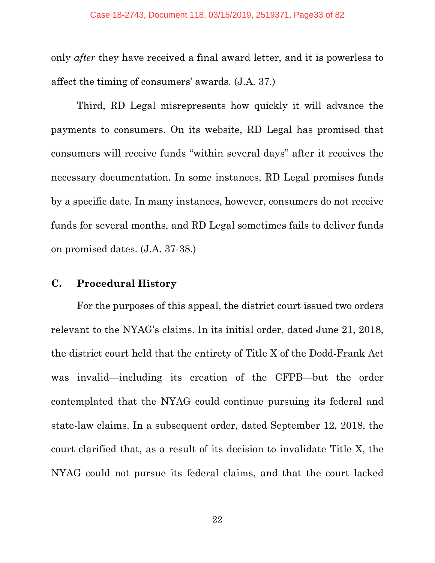only *after* they have received a final award letter, and it is powerless to affect the timing of consumers' awards. (J.A. 37.)

Third, RD Legal misrepresents how quickly it will advance the payments to consumers. On its website, RD Legal has promised that consumers will receive funds "within several days" after it receives the necessary documentation. In some instances, RD Legal promises funds by a specific date. In many instances, however, consumers do not receive funds for several months, and RD Legal sometimes fails to deliver funds on promised dates. (J.A. 37-38.)

#### <span id="page-32-0"></span>**C. Procedural History**

For the purposes of this appeal, the district court issued two orders relevant to the NYAG's claims. In its initial order, dated June 21, 2018, the district court held that the entirety of Title X of the Dodd-Frank Act was invalid—including its creation of the CFPB—but the order contemplated that the NYAG could continue pursuing its federal and state-law claims. In a subsequent order, dated September 12, 2018, the court clarified that, as a result of its decision to invalidate Title X, the NYAG could not pursue its federal claims, and that the court lacked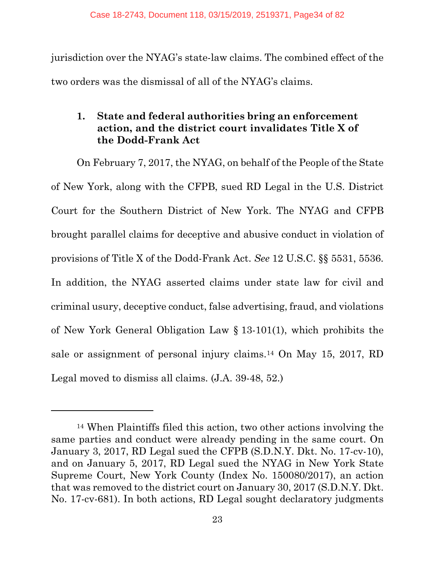jurisdiction over the NYAG's state-law claims. The combined effect of the two orders was the dismissal of all of the NYAG's claims.

### <span id="page-33-0"></span>**1. State and federal authorities bring an enforcement action, and the district court invalidates Title X of the Dodd-Frank Act**

On February 7, 2017, the NYAG, on behalf of the People of the State of New York, along with the CFPB, sued RD Legal in the U.S. District Court for the Southern District of New York. The NYAG and CFPB brought parallel claims for deceptive and abusive conduct in violation of provisions of Title X of the Dodd-Frank Act. *See* 12 U.S.C. §§ 5531, 5536. In addition, the NYAG asserted claims under state law for civil and criminal usury, deceptive conduct, false advertising, fraud, and violations of New York General Obligation Law § 13-101(1), which prohibits the sale or assignment of personal injury claims.[14](#page-33-1) On May 15, 2017, RD Legal moved to dismiss all claims. (J.A. 39-48, 52.)

<span id="page-33-1"></span><sup>14</sup> When Plaintiffs filed this action, two other actions involving the same parties and conduct were already pending in the same court. On January 3, 2017, RD Legal sued the CFPB (S.D.N.Y. Dkt. No. 17-cv-10), and on January 5, 2017, RD Legal sued the NYAG in New York State Supreme Court, New York County (Index No. 150080/2017), an action that was removed to the district court on January 30, 2017 (S.D.N.Y. Dkt. No. 17-cv-681). In both actions, RD Legal sought declaratory judgments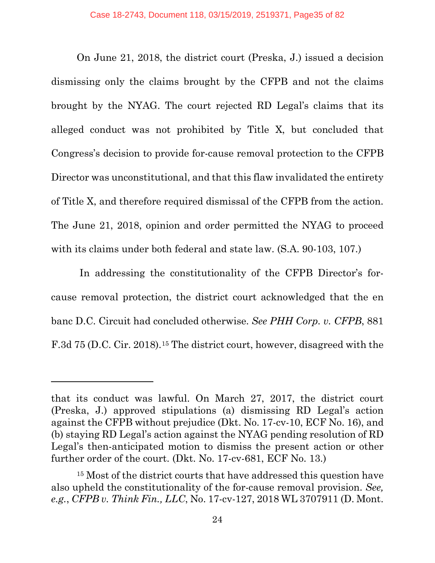On June 21, 2018, the district court (Preska, J.) issued a decision dismissing only the claims brought by the CFPB and not the claims brought by the NYAG. The court rejected RD Legal's claims that its alleged conduct was not prohibited by Title X, but concluded that Congress's decision to provide for-cause removal protection to the CFPB Director was unconstitutional, and that this flaw invalidated the entirety of Title X, and therefore required dismissal of the CFPB from the action. The June 21, 2018, opinion and order permitted the NYAG to proceed with its claims under both federal and state law. (S.A. 90-103, 107.)

In addressing the constitutionality of the CFPB Director's forcause removal protection, the district court acknowledged that the en banc D.C. Circuit had concluded otherwise. *See PHH Corp. v. CFPB*, 881 F.3d 75 (D.C. Cir. 2018).[15](#page-34-0) The district court, however, disagreed with the

l

that its conduct was lawful. On March 27, 2017, the district court (Preska, J.) approved stipulations (a) dismissing RD Legal's action against the CFPB without prejudice (Dkt. No. 17-cv-10, ECF No. 16), and (b) staying RD Legal's action against the NYAG pending resolution of RD Legal's then-anticipated motion to dismiss the present action or other further order of the court. (Dkt. No. 17-cv-681, ECF No. 13.)

<span id="page-34-0"></span><sup>&</sup>lt;sup>15</sup> Most of the district courts that have addressed this question have also upheld the constitutionality of the for-cause removal provision. *See, e.g.*, *CFPB v. Think Fin., LLC*, No. 17-cv-127, 2018 WL 3707911 (D. Mont.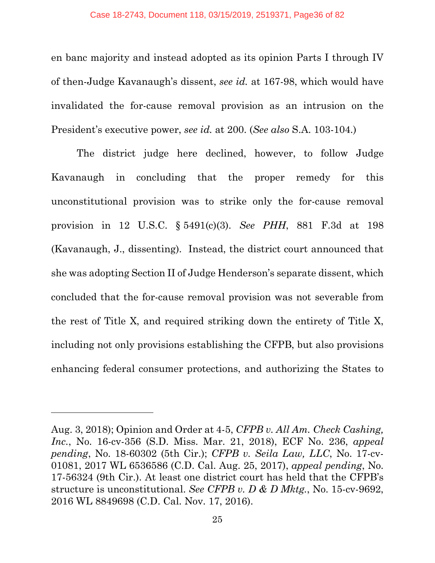en banc majority and instead adopted as its opinion Parts I through IV of then-Judge Kavanaugh's dissent, *see id.* at 167-98, which would have invalidated the for-cause removal provision as an intrusion on the President's executive power, *see id.* at 200. (*See also* S.A. 103-104.)

The district judge here declined, however, to follow Judge Kavanaugh in concluding that the proper remedy for this unconstitutional provision was to strike only the for-cause removal provision in 12 U.S.C. § 5491(c)(3). *See PHH*, 881 F.3d at 198 (Kavanaugh, J., dissenting). Instead, the district court announced that she was adopting Section II of Judge Henderson's separate dissent, which concluded that the for-cause removal provision was not severable from the rest of Title X, and required striking down the entirety of Title X, including not only provisions establishing the CFPB, but also provisions enhancing federal consumer protections, and authorizing the States to

Aug. 3, 2018); Opinion and Order at 4-5, *CFPB v. All Am. Check Cashing, Inc.*, No. 16-cv-356 (S.D. Miss. Mar. 21, 2018), ECF No. 236, *appeal pending*, No. 18-60302 (5th Cir.); *CFPB v. Seila Law, LLC*, No. 17-cv-01081, 2017 WL 6536586 (C.D. Cal. Aug. 25, 2017), *appeal pending*, No. 17-56324 (9th Cir.). At least one district court has held that the CFPB's structure is unconstitutional. *See CFPB v. D & D Mktg.*, No. 15-cv-9692, 2016 WL 8849698 (C.D. Cal. Nov. 17, 2016).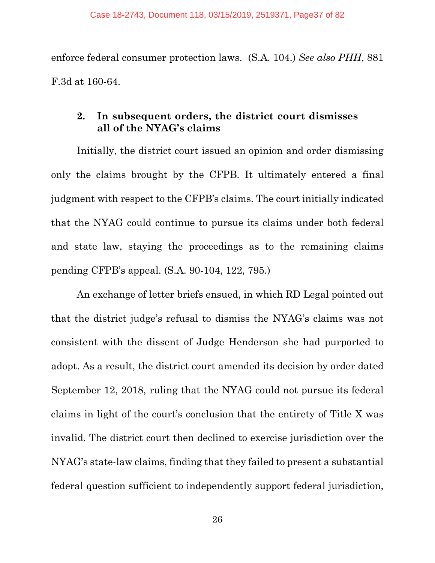enforce federal consumer protection laws. (S.A. 104.) *See also PHH*, 881 F.3d at 160-64.

## **2. In subsequent orders, the district court dismisses all of the NYAG's claims**

Initially, the district court issued an opinion and order dismissing only the claims brought by the CFPB. It ultimately entered a final judgment with respect to the CFPB's claims. The court initially indicated that the NYAG could continue to pursue its claims under both federal and state law, staying the proceedings as to the remaining claims pending CFPB's appeal. (S.A. 90-104, 122, 795.)

An exchange of letter briefs ensued, in which RD Legal pointed out that the district judge's refusal to dismiss the NYAG's claims was not consistent with the dissent of Judge Henderson she had purported to adopt. As a result, the district court amended its decision by order dated September 12, 2018, ruling that the NYAG could not pursue its federal claims in light of the court's conclusion that the entirety of Title X was invalid. The district court then declined to exercise jurisdiction over the NYAG's state-law claims, finding that they failed to present a substantial federal question sufficient to independently support federal jurisdiction,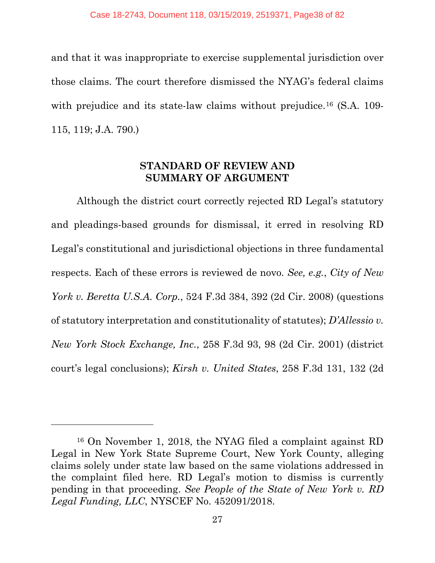and that it was inappropriate to exercise supplemental jurisdiction over those claims. The court therefore dismissed the NYAG's federal claims with prejudice and its state-law claims without prejudice.<sup>16</sup> (S.A. 109-115, 119; J.A. 790.)

#### **STANDARD OF REVIEW AND SUMMARY OF ARGUMENT**

Although the district court correctly rejected RD Legal's statutory and pleadings-based grounds for dismissal, it erred in resolving RD Legal's constitutional and jurisdictional objections in three fundamental respects. Each of these errors is reviewed de novo. *See, e.g.*, *City of New York v. Beretta U.S.A. Corp.*, 524 F.3d 384, 392 (2d Cir. 2008) (questions of statutory interpretation and constitutionality of statutes); *D'Allessio v. New York Stock Exchange, Inc.*, 258 F.3d 93, 98 (2d Cir. 2001) (district court's legal conclusions); *Kirsh v. United States*, 258 F.3d 131, 132 (2d

 $\overline{a}$ 

<span id="page-37-0"></span><sup>16</sup> On November 1, 2018, the NYAG filed a complaint against RD Legal in New York State Supreme Court, New York County, alleging claims solely under state law based on the same violations addressed in the complaint filed here. RD Legal's motion to dismiss is currently pending in that proceeding. *See People of the State of New York v. RD Legal Funding, LLC*, NYSCEF No. 452091/2018.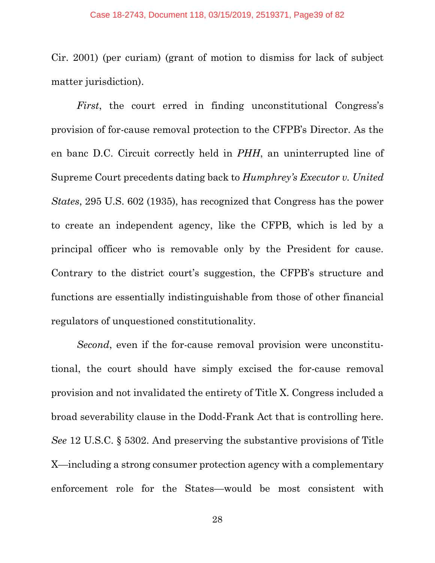Cir. 2001) (per curiam) (grant of motion to dismiss for lack of subject matter jurisdiction).

*First*, the court erred in finding unconstitutional Congress's provision of for-cause removal protection to the CFPB's Director. As the en banc D.C. Circuit correctly held in *PHH*, an uninterrupted line of Supreme Court precedents dating back to *Humphrey's Executor v. United States*, 295 U.S. 602 (1935), has recognized that Congress has the power to create an independent agency, like the CFPB, which is led by a principal officer who is removable only by the President for cause. Contrary to the district court's suggestion, the CFPB's structure and functions are essentially indistinguishable from those of other financial regulators of unquestioned constitutionality.

*Second*, even if the for-cause removal provision were unconstitutional, the court should have simply excised the for-cause removal provision and not invalidated the entirety of Title X. Congress included a broad severability clause in the Dodd-Frank Act that is controlling here. *See* 12 U.S.C. § 5302. And preserving the substantive provisions of Title X—including a strong consumer protection agency with a complementary enforcement role for the States—would be most consistent with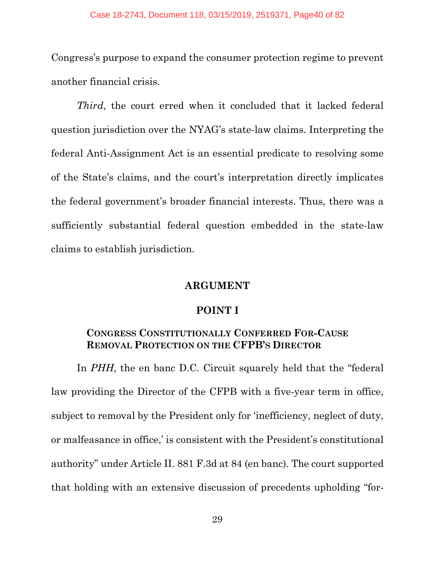Congress's purpose to expand the consumer protection regime to prevent another financial crisis.

*Third*, the court erred when it concluded that it lacked federal question jurisdiction over the NYAG's state-law claims. Interpreting the federal Anti-Assignment Act is an essential predicate to resolving some of the State's claims, and the court's interpretation directly implicates the federal government's broader financial interests. Thus, there was a sufficiently substantial federal question embedded in the state-law claims to establish jurisdiction.

#### **ARGUMENT**

#### **POINT I**

#### **CONGRESS CONSTITUTIONALLY CONFERRED FOR-CAUSE REMOVAL PROTECTION ON THE CFPB'S DIRECTOR**

In *PHH*, the en banc D.C. Circuit squarely held that the "federal" law providing the Director of the CFPB with a five-year term in office, subject to removal by the President only for 'inefficiency, neglect of duty, or malfeasance in office,' is consistent with the President's constitutional authority" under Article II. 881 F.3d at 84 (en banc). The court supported that holding with an extensive discussion of precedents upholding "for-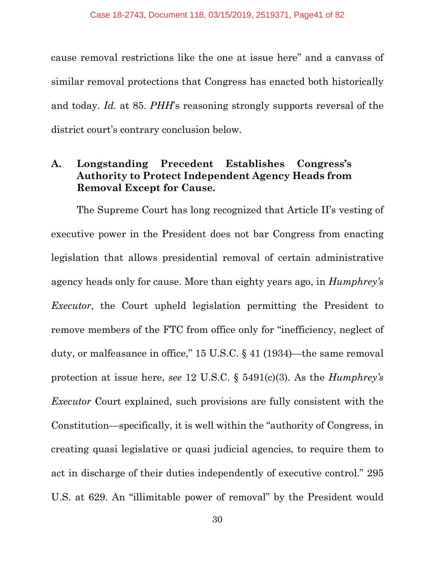cause removal restrictions like the one at issue here" and a canvass of similar removal protections that Congress has enacted both historically and today. *Id.* at 85. *PHH*'s reasoning strongly supports reversal of the district court's contrary conclusion below.

## **A. Longstanding Precedent Establishes Congress's Authority to Protect Independent Agency Heads from Removal Except for Cause.**

The Supreme Court has long recognized that Article II's vesting of executive power in the President does not bar Congress from enacting legislation that allows presidential removal of certain administrative agency heads only for cause. More than eighty years ago, in *Humphrey's Executor*, the Court upheld legislation permitting the President to remove members of the FTC from office only for "inefficiency, neglect of duty, or malfeasance in office," 15 U.S.C. § 41 (1934)—the same removal protection at issue here, *see* 12 U.S.C. § 5491(c)(3). As the *Humphrey's Executor* Court explained, such provisions are fully consistent with the Constitution—specifically, it is well within the "authority of Congress, in creating quasi legislative or quasi judicial agencies, to require them to act in discharge of their duties independently of executive control." 295 U.S. at 629. An "illimitable power of removal" by the President would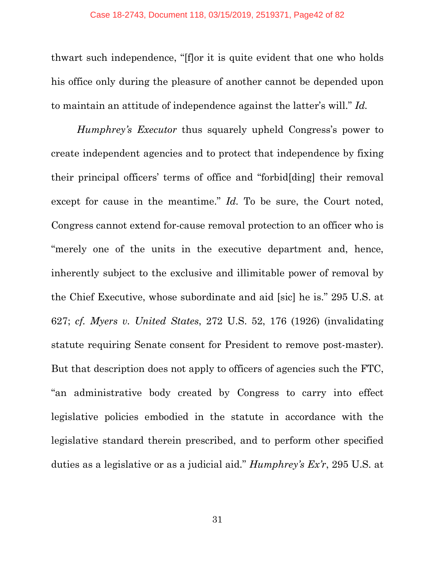thwart such independence, "[f]or it is quite evident that one who holds his office only during the pleasure of another cannot be depended upon to maintain an attitude of independence against the latter's will." *Id.*

*Humphrey's Executor* thus squarely upheld Congress's power to create independent agencies and to protect that independence by fixing their principal officers' terms of office and "forbid[ding] their removal except for cause in the meantime." *Id*. To be sure, the Court noted, Congress cannot extend for-cause removal protection to an officer who is "merely one of the units in the executive department and, hence, inherently subject to the exclusive and illimitable power of removal by the Chief Executive, whose subordinate and aid [sic] he is." 295 U.S. at 627; *cf. Myers v. United States*, 272 U.S. 52, 176 (1926) (invalidating statute requiring Senate consent for President to remove post-master). But that description does not apply to officers of agencies such the FTC, "an administrative body created by Congress to carry into effect legislative policies embodied in the statute in accordance with the legislative standard therein prescribed, and to perform other specified duties as a legislative or as a judicial aid." *Humphrey's Ex'r*, 295 U.S. at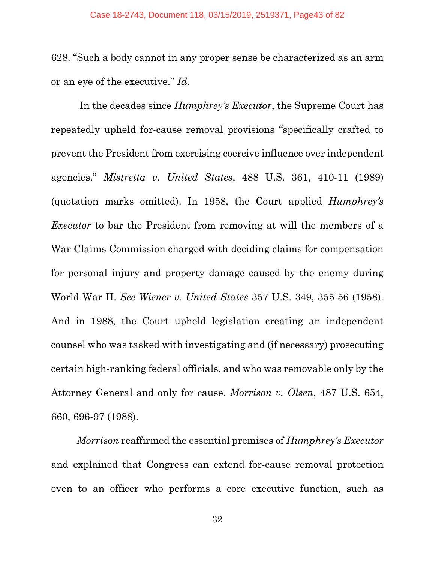628. "Such a body cannot in any proper sense be characterized as an arm or an eye of the executive." *Id.*

In the decades since *Humphrey's Executor*, the Supreme Court has repeatedly upheld for-cause removal provisions "specifically crafted to prevent the President from exercising coercive influence over independent agencies." *Mistretta v. United States*, 488 U.S. 361, 410-11 (1989) (quotation marks omitted). In 1958, the Court applied *Humphrey's Executor* to bar the President from removing at will the members of a War Claims Commission charged with deciding claims for compensation for personal injury and property damage caused by the enemy during World War II. *See Wiener v. United States* 357 U.S. 349, 355-56 (1958). And in 1988, the Court upheld legislation creating an independent counsel who was tasked with investigating and (if necessary) prosecuting certain high-ranking federal officials, and who was removable only by the Attorney General and only for cause. *Morrison v. Olsen*, 487 U.S. 654, 660, 696-97 (1988).

*Morrison* reaffirmed the essential premises of *Humphrey's Executor* and explained that Congress can extend for-cause removal protection even to an officer who performs a core executive function, such as

32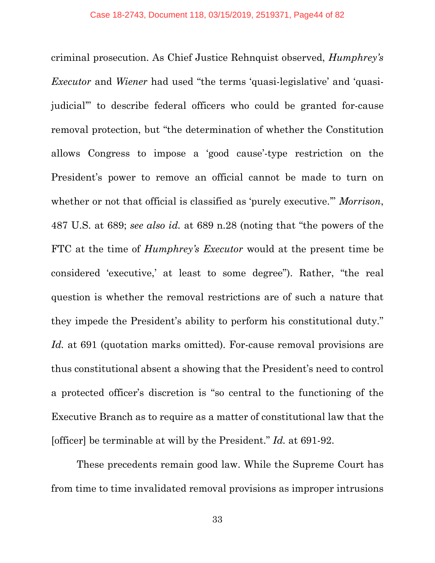criminal prosecution. As Chief Justice Rehnquist observed, *Humphrey's Executor* and *Wiener* had used "the terms 'quasi-legislative' and 'quasijudicial'" to describe federal officers who could be granted for-cause removal protection, but "the determination of whether the Constitution allows Congress to impose a 'good cause'-type restriction on the President's power to remove an official cannot be made to turn on whether or not that official is classified as 'purely executive.'" *Morrison*, 487 U.S. at 689; *see also id.* at 689 n.28 (noting that "the powers of the FTC at the time of *Humphrey's Executor* would at the present time be considered 'executive,' at least to some degree"). Rather, "the real question is whether the removal restrictions are of such a nature that they impede the President's ability to perform his constitutional duty." Id. at 691 (quotation marks omitted). For-cause removal provisions are thus constitutional absent a showing that the President's need to control a protected officer's discretion is "so central to the functioning of the Executive Branch as to require as a matter of constitutional law that the [officer] be terminable at will by the President." *Id.* at 691-92.

These precedents remain good law. While the Supreme Court has from time to time invalidated removal provisions as improper intrusions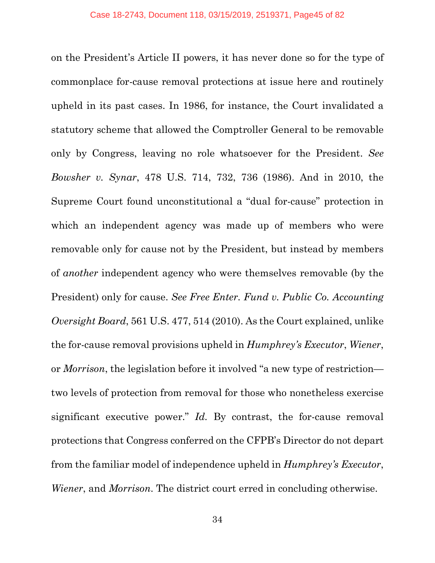on the President's Article II powers, it has never done so for the type of commonplace for-cause removal protections at issue here and routinely upheld in its past cases. In 1986, for instance, the Court invalidated a statutory scheme that allowed the Comptroller General to be removable only by Congress, leaving no role whatsoever for the President. *See Bowsher v. Synar*, 478 U.S. 714, 732, 736 (1986). And in 2010, the Supreme Court found unconstitutional a "dual for-cause" protection in which an independent agency was made up of members who were removable only for cause not by the President, but instead by members of *another* independent agency who were themselves removable (by the President) only for cause. *See Free Enter. Fund v. Public Co. Accounting Oversight Board*, 561 U.S. 477, 514 (2010). As the Court explained, unlike the for-cause removal provisions upheld in *Humphrey's Executor*, *Wiener*, or *Morrison*, the legislation before it involved "a new type of restriction two levels of protection from removal for those who nonetheless exercise significant executive power." *Id.* By contrast, the for-cause removal protections that Congress conferred on the CFPB's Director do not depart from the familiar model of independence upheld in *Humphrey's Executor*, *Wiener*, and *Morrison*. The district court erred in concluding otherwise.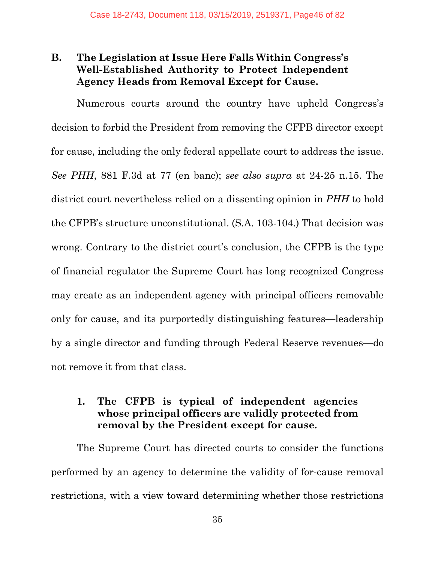# **B. The Legislation at Issue Here Falls Within Congress's Well-Established Authority to Protect Independent Agency Heads from Removal Except for Cause.**

Numerous courts around the country have upheld Congress's decision to forbid the President from removing the CFPB director except for cause, including the only federal appellate court to address the issue. *See PHH*, 881 F.3d at 77 (en banc); *see also supra* at 24-25 n.15. The district court nevertheless relied on a dissenting opinion in *PHH* to hold the CFPB's structure unconstitutional. (S.A. 103-104.) That decision was wrong. Contrary to the district court's conclusion, the CFPB is the type of financial regulator the Supreme Court has long recognized Congress may create as an independent agency with principal officers removable only for cause, and its purportedly distinguishing features—leadership by a single director and funding through Federal Reserve revenues—do not remove it from that class.

# **1. The CFPB is typical of independent agencies whose principal officers are validly protected from removal by the President except for cause.**

The Supreme Court has directed courts to consider the functions performed by an agency to determine the validity of for-cause removal restrictions, with a view toward determining whether those restrictions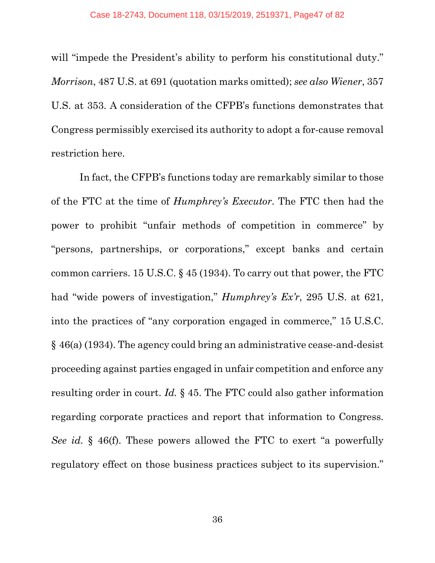will "impede the President's ability to perform his constitutional duty." *Morrison*, 487 U.S. at 691 (quotation marks omitted); *see also Wiener*, 357 U.S. at 353. A consideration of the CFPB's functions demonstrates that Congress permissibly exercised its authority to adopt a for-cause removal restriction here.

In fact, the CFPB's functions today are remarkably similar to those of the FTC at the time of *Humphrey's Executor*. The FTC then had the power to prohibit "unfair methods of competition in commerce" by "persons, partnerships, or corporations," except banks and certain common carriers. 15 U.S.C. § 45 (1934). To carry out that power, the FTC had "wide powers of investigation," *Humphrey's Ex'r*, 295 U.S. at 621, into the practices of "any corporation engaged in commerce," 15 U.S.C. § 46(a) (1934). The agency could bring an administrative cease-and-desist proceeding against parties engaged in unfair competition and enforce any resulting order in court. *Id.* § 45. The FTC could also gather information regarding corporate practices and report that information to Congress. *See id.* § 46(f). These powers allowed the FTC to exert "a powerfully regulatory effect on those business practices subject to its supervision."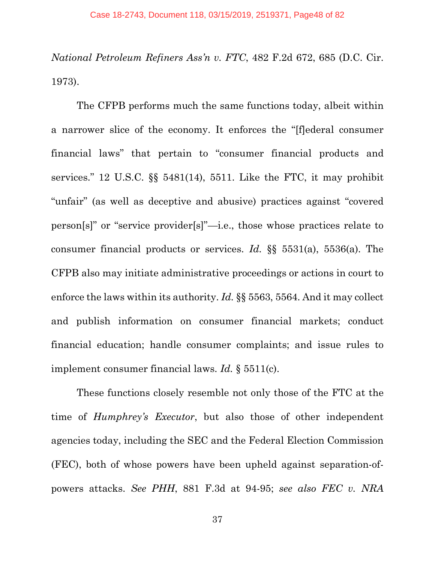*National Petroleum Refiners Ass'n v. FTC*, 482 F.2d 672, 685 (D.C. Cir. 1973).

The CFPB performs much the same functions today, albeit within a narrower slice of the economy. It enforces the "[f]ederal consumer financial laws" that pertain to "consumer financial products and services." 12 U.S.C. §§ 5481(14), 5511. Like the FTC, it may prohibit "unfair" (as well as deceptive and abusive) practices against "covered person[s]" or "service provider[s]"—i.e., those whose practices relate to consumer financial products or services. *Id.* §§ 5531(a), 5536(a). The CFPB also may initiate administrative proceedings or actions in court to enforce the laws within its authority. *Id.* §§ 5563, 5564. And it may collect and publish information on consumer financial markets; conduct financial education; handle consumer complaints; and issue rules to implement consumer financial laws. *Id.* § 5511(c).

These functions closely resemble not only those of the FTC at the time of *Humphrey's Executor*, but also those of other independent agencies today, including the SEC and the Federal Election Commission (FEC), both of whose powers have been upheld against separation-ofpowers attacks. *See PHH*, 881 F.3d at 94-95; *see also FEC v. NRA*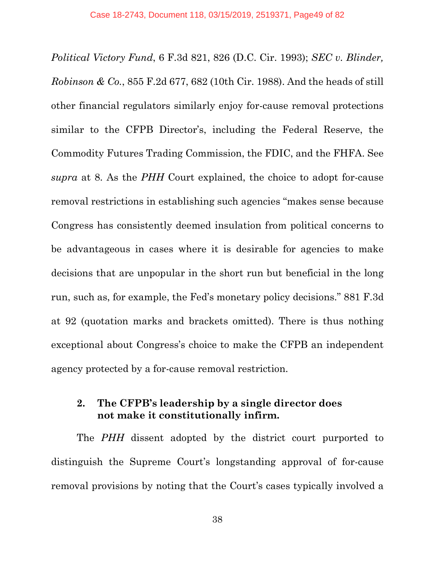*Political Victory Fund*, 6 F.3d 821, 826 (D.C. Cir. 1993); *SEC v. Blinder, Robinson & Co.*, 855 F.2d 677, 682 (10th Cir. 1988). And the heads of still other financial regulators similarly enjoy for-cause removal protections similar to the CFPB Director's, including the Federal Reserve, the Commodity Futures Trading Commission, the FDIC, and the FHFA. See *supra* at 8. As the *PHH* Court explained, the choice to adopt for-cause removal restrictions in establishing such agencies "makes sense because Congress has consistently deemed insulation from political concerns to be advantageous in cases where it is desirable for agencies to make decisions that are unpopular in the short run but beneficial in the long run, such as, for example, the Fed's monetary policy decisions." 881 F.3d at 92 (quotation marks and brackets omitted). There is thus nothing exceptional about Congress's choice to make the CFPB an independent agency protected by a for-cause removal restriction.

## **2. The CFPB's leadership by a single director does not make it constitutionally infirm.**

The *PHH* dissent adopted by the district court purported to distinguish the Supreme Court's longstanding approval of for-cause removal provisions by noting that the Court's cases typically involved a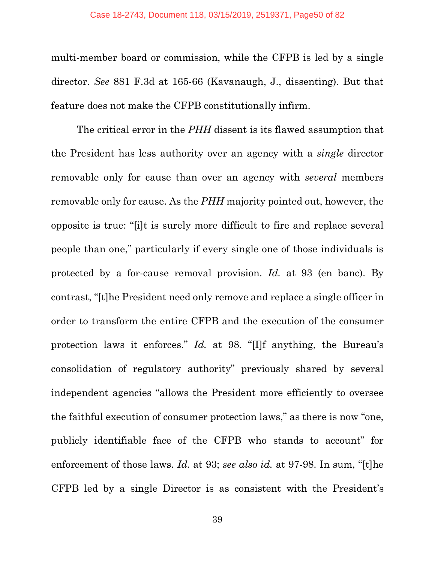multi-member board or commission, while the CFPB is led by a single director. *See* 881 F.3d at 165-66 (Kavanaugh, J., dissenting). But that feature does not make the CFPB constitutionally infirm.

The critical error in the *PHH* dissent is its flawed assumption that the President has less authority over an agency with a *single* director removable only for cause than over an agency with *several* members removable only for cause. As the *PHH* majority pointed out, however, the opposite is true: "[i]t is surely more difficult to fire and replace several people than one," particularly if every single one of those individuals is protected by a for-cause removal provision. *Id.* at 93 (en banc). By contrast, "[t]he President need only remove and replace a single officer in order to transform the entire CFPB and the execution of the consumer protection laws it enforces." *Id.* at 98. "[I]f anything, the Bureau's consolidation of regulatory authority" previously shared by several independent agencies "allows the President more efficiently to oversee the faithful execution of consumer protection laws," as there is now "one, publicly identifiable face of the CFPB who stands to account" for enforcement of those laws. *Id.* at 93; *see also id.* at 97-98. In sum, "[t]he CFPB led by a single Director is as consistent with the President's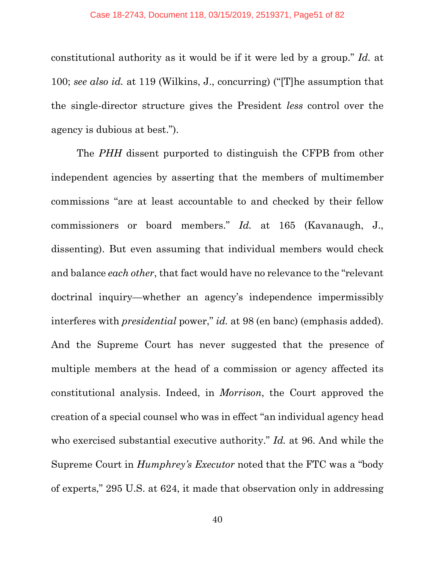constitutional authority as it would be if it were led by a group." *Id.* at 100; *see also id.* at 119 (Wilkins, J., concurring) ("[T]he assumption that the single-director structure gives the President *less* control over the agency is dubious at best.").

The *PHH* dissent purported to distinguish the CFPB from other independent agencies by asserting that the members of multimember commissions "are at least accountable to and checked by their fellow commissioners or board members." *Id.* at 165 (Kavanaugh, J., dissenting). But even assuming that individual members would check and balance *each other*, that fact would have no relevance to the "relevant doctrinal inquiry—whether an agency's independence impermissibly interferes with *presidential* power," *id.* at 98 (en banc) (emphasis added). And the Supreme Court has never suggested that the presence of multiple members at the head of a commission or agency affected its constitutional analysis. Indeed, in *Morrison*, the Court approved the creation of a special counsel who was in effect "an individual agency head who exercised substantial executive authority." *Id.* at 96. And while the Supreme Court in *Humphrey's Executor* noted that the FTC was a "body of experts," 295 U.S. at 624, it made that observation only in addressing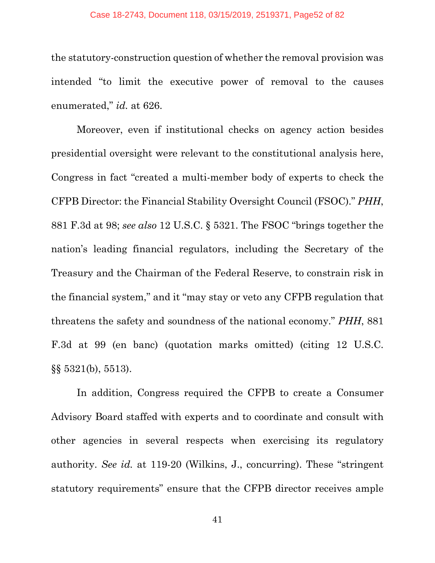the statutory-construction question of whether the removal provision was intended "to limit the executive power of removal to the causes enumerated," *id.* at 626.

Moreover, even if institutional checks on agency action besides presidential oversight were relevant to the constitutional analysis here, Congress in fact "created a multi-member body of experts to check the CFPB Director: the Financial Stability Oversight Council (FSOC)." *PHH*, 881 F.3d at 98; *see also* 12 U.S.C. § 5321. The FSOC "brings together the nation's leading financial regulators, including the Secretary of the Treasury and the Chairman of the Federal Reserve, to constrain risk in the financial system," and it "may stay or veto any CFPB regulation that threatens the safety and soundness of the national economy." *PHH*, 881 F.3d at 99 (en banc) (quotation marks omitted) (citing 12 U.S.C. §§ 5321(b), 5513).

In addition, Congress required the CFPB to create a Consumer Advisory Board staffed with experts and to coordinate and consult with other agencies in several respects when exercising its regulatory authority. *See id.* at 119-20 (Wilkins, J., concurring). These "stringent statutory requirements" ensure that the CFPB director receives ample

41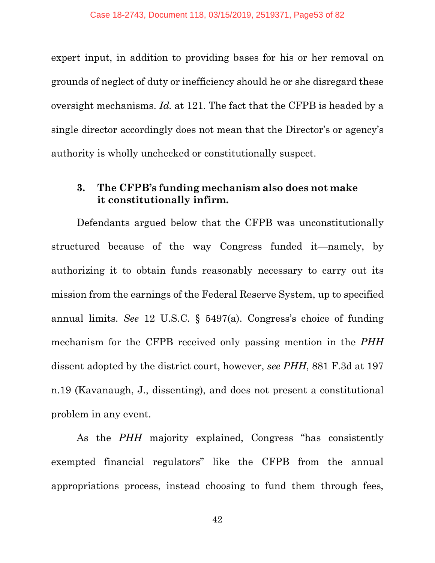expert input, in addition to providing bases for his or her removal on grounds of neglect of duty or inefficiency should he or she disregard these oversight mechanisms. *Id.* at 121. The fact that the CFPB is headed by a single director accordingly does not mean that the Director's or agency's authority is wholly unchecked or constitutionally suspect.

#### **3. The CFPB's funding mechanism also does not make it constitutionally infirm.**

Defendants argued below that the CFPB was unconstitutionally structured because of the way Congress funded it—namely, by authorizing it to obtain funds reasonably necessary to carry out its mission from the earnings of the Federal Reserve System, up to specified annual limits. *See* 12 U.S.C. § 5497(a). Congress's choice of funding mechanism for the CFPB received only passing mention in the *PHH* dissent adopted by the district court, however, *see PHH*, 881 F.3d at 197 n.19 (Kavanaugh, J., dissenting), and does not present a constitutional problem in any event.

As the *PHH* majority explained, Congress "has consistently exempted financial regulators" like the CFPB from the annual appropriations process, instead choosing to fund them through fees,

42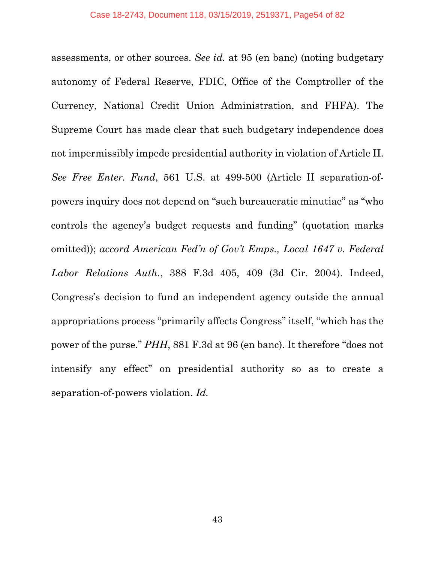assessments, or other sources. *See id.* at 95 (en banc) (noting budgetary autonomy of Federal Reserve, FDIC, Office of the Comptroller of the Currency, National Credit Union Administration, and FHFA). The Supreme Court has made clear that such budgetary independence does not impermissibly impede presidential authority in violation of Article II. *See Free Enter. Fund*, 561 U.S. at 499-500 (Article II separation-ofpowers inquiry does not depend on "such bureaucratic minutiae" as "who controls the agency's budget requests and funding" (quotation marks omitted)); *accord American Fed'n of Gov't Emps., Local 1647 v. Federal Labor Relations Auth.*, 388 F.3d 405, 409 (3d Cir. 2004). Indeed, Congress's decision to fund an independent agency outside the annual appropriations process "primarily affects Congress" itself, "which has the power of the purse." *PHH*, 881 F.3d at 96 (en banc). It therefore "does not intensify any effect" on presidential authority so as to create a separation-of-powers violation. *Id.*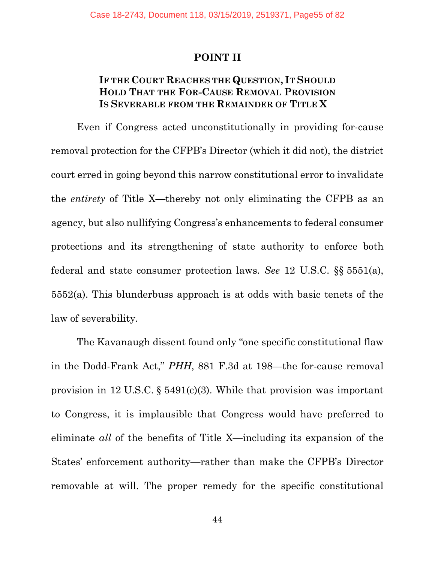#### **POINT II**

## **IF THE COURT REACHES THE QUESTION, IT SHOULD HOLD THAT THE FOR-CAUSE REMOVAL PROVISION IS SEVERABLE FROM THE REMAINDER OF TITLE X**

Even if Congress acted unconstitutionally in providing for-cause removal protection for the CFPB's Director (which it did not), the district court erred in going beyond this narrow constitutional error to invalidate the *entirety* of Title X—thereby not only eliminating the CFPB as an agency, but also nullifying Congress's enhancements to federal consumer protections and its strengthening of state authority to enforce both federal and state consumer protection laws. *See* 12 U.S.C. §§ 5551(a), 5552(a). This blunderbuss approach is at odds with basic tenets of the law of severability.

The Kavanaugh dissent found only "one specific constitutional flaw in the Dodd-Frank Act," *PHH*, 881 F.3d at 198—the for-cause removal provision in 12 U.S.C. § 5491(c)(3). While that provision was important to Congress, it is implausible that Congress would have preferred to eliminate *all* of the benefits of Title X—including its expansion of the States' enforcement authority—rather than make the CFPB's Director removable at will. The proper remedy for the specific constitutional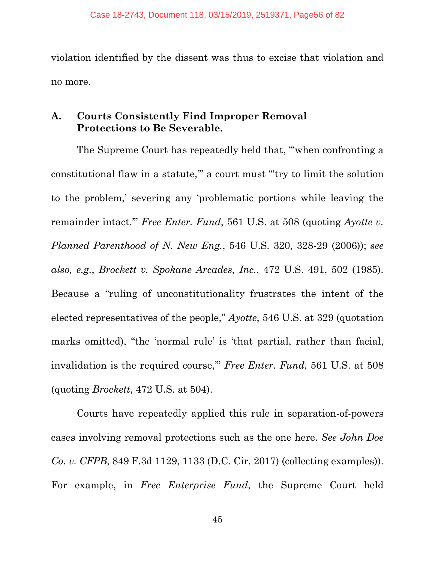violation identified by the dissent was thus to excise that violation and no more.

## **A. Courts Consistently Find Improper Removal Protections to Be Severable.**

The Supreme Court has repeatedly held that, "'when confronting a constitutional flaw in a statute,'" a court must "'try to limit the solution to the problem,' severing any 'problematic portions while leaving the remainder intact.'" *Free Enter. Fund*, 561 U.S. at 508 (quoting *Ayotte v. Planned Parenthood of N. New Eng.*, 546 U.S. 320, 328-29 (2006)); *see also, e.g.*, *Brockett v. Spokane Arcades, Inc.*, 472 U.S. 491, 502 (1985). Because a "ruling of unconstitutionality frustrates the intent of the elected representatives of the people," *Ayotte*, 546 U.S. at 329 (quotation marks omitted), "the 'normal rule' is 'that partial, rather than facial, invalidation is the required course,'" *Free Enter. Fund*, 561 U.S. at 508 (quoting *Brockett*, 472 U.S. at 504).

Courts have repeatedly applied this rule in separation-of-powers cases involving removal protections such as the one here. *See John Doe Co. v. CFPB*, 849 F.3d 1129, 1133 (D.C. Cir. 2017) (collecting examples)). For example, in *Free Enterprise Fund*, the Supreme Court held

45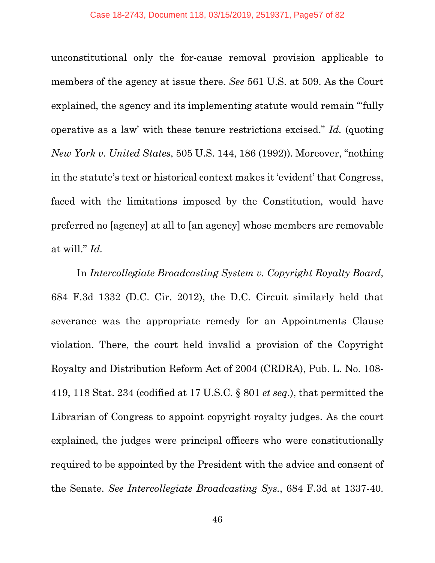unconstitutional only the for-cause removal provision applicable to members of the agency at issue there. *See* 561 U.S. at 509. As the Court explained, the agency and its implementing statute would remain "fully" operative as a law' with these tenure restrictions excised." *Id.* (quoting *New York v. United States*, 505 U.S. 144, 186 (1992)). Moreover, "nothing in the statute's text or historical context makes it 'evident' that Congress, faced with the limitations imposed by the Constitution, would have preferred no [agency] at all to [an agency] whose members are removable at will." *Id.*

In *Intercollegiate Broadcasting System v. Copyright Royalty Board*, 684 F.3d 1332 (D.C. Cir. 2012), the D.C. Circuit similarly held that severance was the appropriate remedy for an Appointments Clause violation. There, the court held invalid a provision of the Copyright Royalty and Distribution Reform Act of 2004 (CRDRA), Pub. L. No. 108- 419, 118 Stat. 234 (codified at 17 U.S.C. § 801 *et seq*.), that permitted the Librarian of Congress to appoint copyright royalty judges. As the court explained, the judges were principal officers who were constitutionally required to be appointed by the President with the advice and consent of the Senate. *See Intercollegiate Broadcasting Sys.*, 684 F.3d at 1337-40.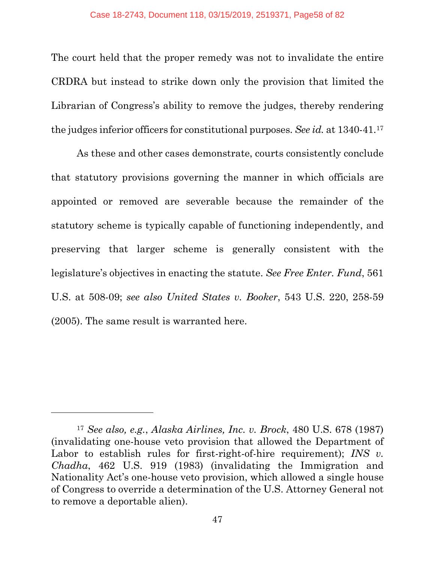The court held that the proper remedy was not to invalidate the entire CRDRA but instead to strike down only the provision that limited the Librarian of Congress's ability to remove the judges, thereby rendering the judges inferior officers for constitutional purposes. *See id.* at 1340-41.[17](#page-57-0)

As these and other cases demonstrate, courts consistently conclude that statutory provisions governing the manner in which officials are appointed or removed are severable because the remainder of the statutory scheme is typically capable of functioning independently, and preserving that larger scheme is generally consistent with the legislature's objectives in enacting the statute. *See Free Enter. Fund*, 561 U.S. at 508-09; *see also United States v. Booker*, 543 U.S. 220, 258-59 (2005). The same result is warranted here.

 $\overline{a}$ 

<span id="page-57-0"></span><sup>17</sup> *See also, e.g.*, *Alaska Airlines, Inc. v. Brock*, 480 U.S. 678 (1987) (invalidating one-house veto provision that allowed the Department of Labor to establish rules for first-right-of-hire requirement); *INS v. Chadha*, 462 U.S. 919 (1983) (invalidating the Immigration and Nationality Act's one-house veto provision, which allowed a single house of Congress to override a determination of the U.S. Attorney General not to remove a deportable alien).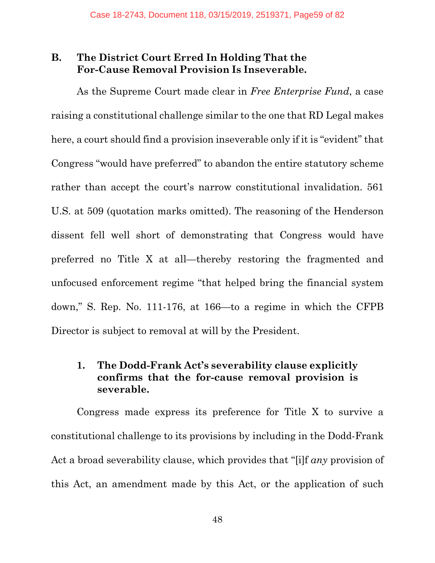## **B. The District Court Erred In Holding That the For-Cause Removal Provision Is Inseverable.**

As the Supreme Court made clear in *Free Enterprise Fund*, a case raising a constitutional challenge similar to the one that RD Legal makes here, a court should find a provision inseverable only if it is "evident" that Congress "would have preferred" to abandon the entire statutory scheme rather than accept the court's narrow constitutional invalidation. 561 U.S. at 509 (quotation marks omitted). The reasoning of the Henderson dissent fell well short of demonstrating that Congress would have preferred no Title X at all—thereby restoring the fragmented and unfocused enforcement regime "that helped bring the financial system down," S. Rep. No. 111-176, at 166—to a regime in which the CFPB Director is subject to removal at will by the President.

## **1. The Dodd-Frank Act's severability clause explicitly confirms that the for-cause removal provision is severable.**

Congress made express its preference for Title X to survive a constitutional challenge to its provisions by including in the Dodd-Frank Act a broad severability clause, which provides that "[i]f *any* provision of this Act, an amendment made by this Act, or the application of such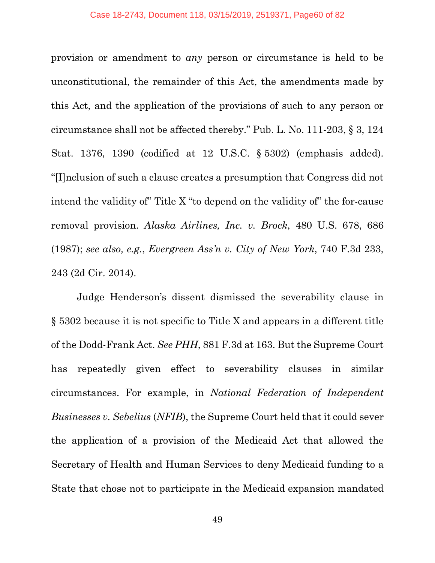provision or amendment to *any* person or circumstance is held to be unconstitutional, the remainder of this Act, the amendments made by this Act, and the application of the provisions of such to any person or circumstance shall not be affected thereby." Pub. L. No. 111-203, § 3, 124 Stat. 1376, 1390 (codified at 12 U.S.C. § 5302) (emphasis added). "[I]nclusion of such a clause creates a presumption that Congress did not intend the validity of" Title X "to depend on the validity of" the for-cause removal provision. *Alaska Airlines, Inc. v. Brock*, 480 U.S. 678, 686 (1987); *see also, e.g.*, *Evergreen Ass'n v. City of New York*, 740 F.3d 233, 243 (2d Cir. 2014).

Judge Henderson's dissent dismissed the severability clause in § 5302 because it is not specific to Title X and appears in a different title of the Dodd-Frank Act. *See PHH*, 881 F.3d at 163. But the Supreme Court has repeatedly given effect to severability clauses in similar circumstances. For example, in *National Federation of Independent Businesses v. Sebelius* (*NFIB*), the Supreme Court held that it could sever the application of a provision of the Medicaid Act that allowed the Secretary of Health and Human Services to deny Medicaid funding to a State that chose not to participate in the Medicaid expansion mandated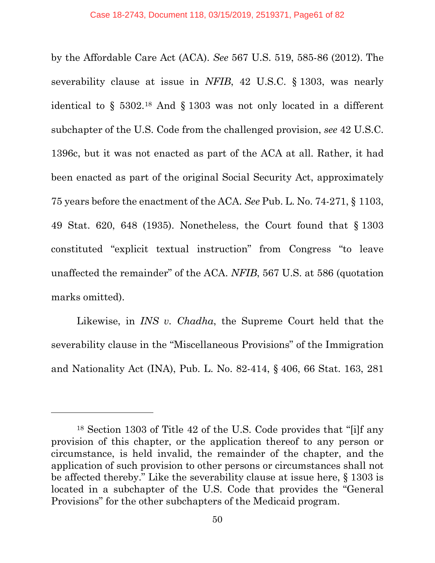by the Affordable Care Act (ACA). *See* 567 U.S. 519, 585-86 (2012). The severability clause at issue in *NFIB*, 42 U.S.C. § 1303, was nearly identical to § 5302.[18](#page-60-0) And § 1303 was not only located in a different subchapter of the U.S. Code from the challenged provision, *see* 42 U.S.C. 1396c, but it was not enacted as part of the ACA at all. Rather, it had been enacted as part of the original Social Security Act, approximately 75 years before the enactment of the ACA. *See* Pub. L. No. 74-271, § 1103, 49 Stat. 620, 648 (1935). Nonetheless, the Court found that § 1303 constituted "explicit textual instruction" from Congress "to leave unaffected the remainder" of the ACA. *NFIB*, 567 U.S. at 586 (quotation marks omitted).

Likewise, in *INS v. Chadha*, the Supreme Court held that the severability clause in the "Miscellaneous Provisions" of the Immigration and Nationality Act (INA), Pub. L. No. 82-414, § 406, 66 Stat. 163, 281

 $\overline{a}$ 

<span id="page-60-0"></span><sup>18</sup> Section 1303 of Title 42 of the U.S. Code provides that "[i]f any provision of this chapter, or the application thereof to any person or circumstance, is held invalid, the remainder of the chapter, and the application of such provision to other persons or circumstances shall not be affected thereby." Like the severability clause at issue here, § 1303 is located in a subchapter of the U.S. Code that provides the "General Provisions" for the other subchapters of the Medicaid program.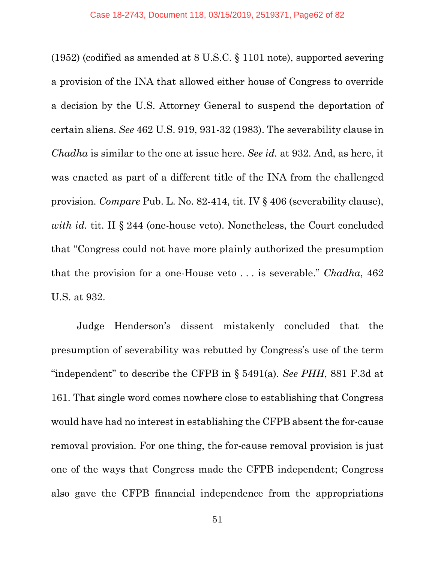(1952) (codified as amended at 8 U.S.C. § 1101 note), supported severing a provision of the INA that allowed either house of Congress to override a decision by the U.S. Attorney General to suspend the deportation of certain aliens. *See* 462 U.S. 919, 931-32 (1983). The severability clause in *Chadha* is similar to the one at issue here. *See id.* at 932. And, as here, it was enacted as part of a different title of the INA from the challenged provision. *Compare* Pub. L. No. 82-414, tit. IV § 406 (severability clause), *with id.* tit. II § 244 (one-house veto). Nonetheless, the Court concluded that "Congress could not have more plainly authorized the presumption that the provision for a one-House veto . . . is severable." *Chadha*, 462 U.S. at 932.

Judge Henderson's dissent mistakenly concluded that the presumption of severability was rebutted by Congress's use of the term "independent" to describe the CFPB in § 5491(a). *See PHH*, 881 F.3d at 161. That single word comes nowhere close to establishing that Congress would have had no interest in establishing the CFPB absent the for-cause removal provision. For one thing, the for-cause removal provision is just one of the ways that Congress made the CFPB independent; Congress also gave the CFPB financial independence from the appropriations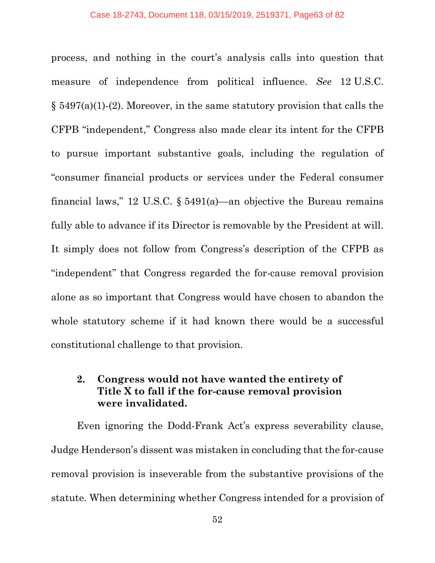process, and nothing in the court's analysis calls into question that measure of independence from political influence. *See* 12 U.S.C. § 5497(a)(1)-(2). Moreover, in the same statutory provision that calls the CFPB "independent," Congress also made clear its intent for the CFPB to pursue important substantive goals, including the regulation of "consumer financial products or services under the Federal consumer financial laws," 12 U.S.C. § 5491(a)—an objective the Bureau remains fully able to advance if its Director is removable by the President at will. It simply does not follow from Congress's description of the CFPB as "independent" that Congress regarded the for-cause removal provision alone as so important that Congress would have chosen to abandon the whole statutory scheme if it had known there would be a successful constitutional challenge to that provision.

## **2. Congress would not have wanted the entirety of Title X to fall if the for-cause removal provision were invalidated.**

Even ignoring the Dodd-Frank Act's express severability clause, Judge Henderson's dissent was mistaken in concluding that the for-cause removal provision is inseverable from the substantive provisions of the statute. When determining whether Congress intended for a provision of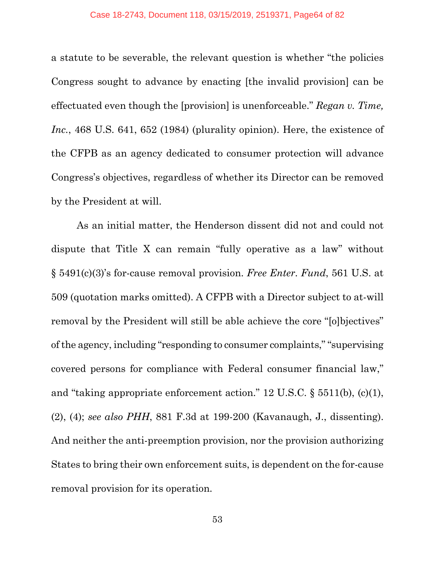a statute to be severable, the relevant question is whether "the policies Congress sought to advance by enacting [the invalid provision] can be effectuated even though the [provision] is unenforceable." *Regan v. Time,*  Inc., 468 U.S. 641, 652 (1984) (plurality opinion). Here, the existence of the CFPB as an agency dedicated to consumer protection will advance Congress's objectives, regardless of whether its Director can be removed by the President at will.

As an initial matter, the Henderson dissent did not and could not dispute that Title X can remain "fully operative as a law" without § 5491(c)(3)'s for-cause removal provision. *Free Enter. Fund*, 561 U.S. at 509 (quotation marks omitted). A CFPB with a Director subject to at-will removal by the President will still be able achieve the core "[o]bjectives" of the agency, including "responding to consumer complaints," "supervising covered persons for compliance with Federal consumer financial law," and "taking appropriate enforcement action." 12 U.S.C. § 5511(b), (c)(1), (2), (4); *see also PHH*, 881 F.3d at 199-200 (Kavanaugh, J., dissenting). And neither the anti-preemption provision, nor the provision authorizing States to bring their own enforcement suits, is dependent on the for-cause removal provision for its operation.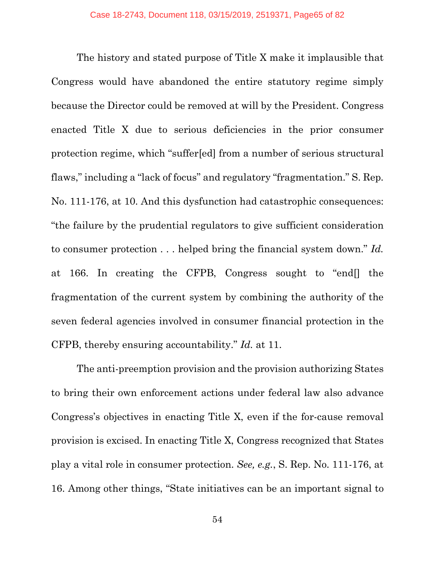The history and stated purpose of Title X make it implausible that Congress would have abandoned the entire statutory regime simply because the Director could be removed at will by the President. Congress enacted Title X due to serious deficiencies in the prior consumer protection regime, which "suffer[ed] from a number of serious structural flaws," including a "lack of focus" and regulatory "fragmentation." S. Rep. No. 111-176, at 10. And this dysfunction had catastrophic consequences: "the failure by the prudential regulators to give sufficient consideration to consumer protection . . . helped bring the financial system down." *Id.* at 166. In creating the CFPB, Congress sought to "end[] the fragmentation of the current system by combining the authority of the seven federal agencies involved in consumer financial protection in the CFPB, thereby ensuring accountability." *Id.* at 11.

The anti-preemption provision and the provision authorizing States to bring their own enforcement actions under federal law also advance Congress's objectives in enacting Title X, even if the for-cause removal provision is excised. In enacting Title X, Congress recognized that States play a vital role in consumer protection. *See, e.g.*, S. Rep. No. 111-176, at 16. Among other things, "State initiatives can be an important signal to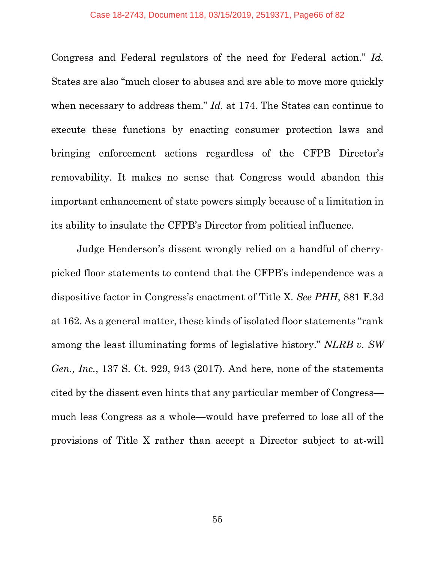Congress and Federal regulators of the need for Federal action." *Id.* States are also "much closer to abuses and are able to move more quickly when necessary to address them." *Id.* at 174. The States can continue to execute these functions by enacting consumer protection laws and bringing enforcement actions regardless of the CFPB Director's removability. It makes no sense that Congress would abandon this important enhancement of state powers simply because of a limitation in its ability to insulate the CFPB's Director from political influence.

Judge Henderson's dissent wrongly relied on a handful of cherrypicked floor statements to contend that the CFPB's independence was a dispositive factor in Congress's enactment of Title X. *See PHH*, 881 F.3d at 162. As a general matter, these kinds of isolated floor statements "rank among the least illuminating forms of legislative history." *NLRB v. SW Gen., Inc.*, 137 S. Ct. 929, 943 (2017)*.* And here, none of the statements cited by the dissent even hints that any particular member of Congress much less Congress as a whole—would have preferred to lose all of the provisions of Title X rather than accept a Director subject to at-will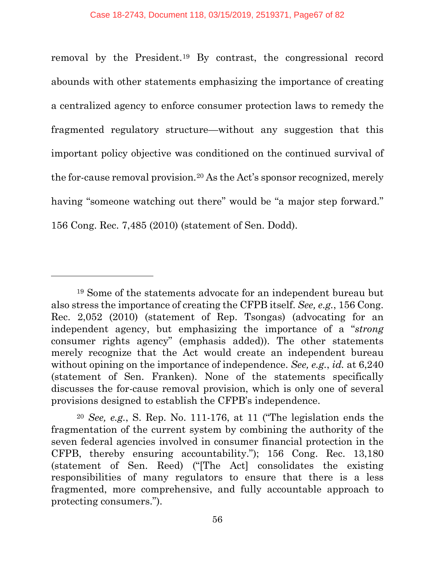removal by the President.[19](#page-66-0) By contrast, the congressional record abounds with other statements emphasizing the importance of creating a centralized agency to enforce consumer protection laws to remedy the fragmented regulatory structure—without any suggestion that this important policy objective was conditioned on the continued survival of the for-cause removal provision.[20](#page-66-1) As the Act's sponsor recognized, merely having "someone watching out there" would be "a major step forward." 156 Cong. Rec. 7,485 (2010) (statement of Sen. Dodd).

l

<span id="page-66-0"></span><sup>19</sup> Some of the statements advocate for an independent bureau but also stress the importance of creating the CFPB itself. *See, e.g.*, 156 Cong. Rec. 2,052 (2010) (statement of Rep. Tsongas) (advocating for an independent agency, but emphasizing the importance of a "*strong* consumer rights agency" (emphasis added)). The other statements merely recognize that the Act would create an independent bureau without opining on the importance of independence. *See, e.g.*, *id.* at 6,240 (statement of Sen. Franken). None of the statements specifically discusses the for-cause removal provision, which is only one of several provisions designed to establish the CFPB's independence.

<span id="page-66-1"></span><sup>20</sup> *See, e.g.*, S. Rep. No. 111-176, at 11 ("The legislation ends the fragmentation of the current system by combining the authority of the seven federal agencies involved in consumer financial protection in the CFPB, thereby ensuring accountability."); 156 Cong. Rec. 13,180 (statement of Sen. Reed) ("[The Act] consolidates the existing responsibilities of many regulators to ensure that there is a less fragmented, more comprehensive, and fully accountable approach to protecting consumers.").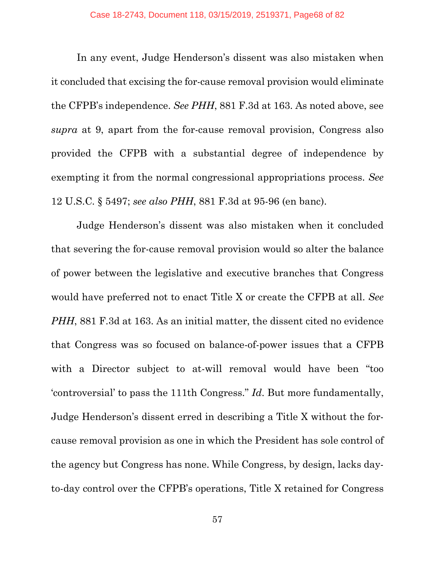In any event, Judge Henderson's dissent was also mistaken when it concluded that excising the for-cause removal provision would eliminate the CFPB's independence. *See PHH*, 881 F.3d at 163. As noted above, see *supra* at 9, apart from the for-cause removal provision, Congress also provided the CFPB with a substantial degree of independence by exempting it from the normal congressional appropriations process. *See*  12 U.S.C. § 5497; *see also PHH*, 881 F.3d at 95-96 (en banc).

Judge Henderson's dissent was also mistaken when it concluded that severing the for-cause removal provision would so alter the balance of power between the legislative and executive branches that Congress would have preferred not to enact Title X or create the CFPB at all. *See PHH*, 881 F.3d at 163. As an initial matter, the dissent cited no evidence that Congress was so focused on balance-of-power issues that a CFPB with a Director subject to at-will removal would have been "too 'controversial' to pass the 111th Congress." *Id*. But more fundamentally, Judge Henderson's dissent erred in describing a Title X without the forcause removal provision as one in which the President has sole control of the agency but Congress has none. While Congress, by design, lacks dayto-day control over the CFPB's operations, Title X retained for Congress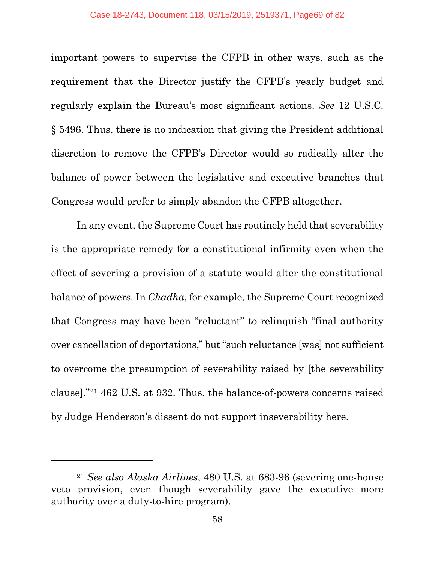#### Case 18-2743, Document 118, 03/15/2019, 2519371, Page69 of 82

important powers to supervise the CFPB in other ways, such as the requirement that the Director justify the CFPB's yearly budget and regularly explain the Bureau's most significant actions. *See* 12 U.S.C. § 5496. Thus, there is no indication that giving the President additional discretion to remove the CFPB's Director would so radically alter the balance of power between the legislative and executive branches that Congress would prefer to simply abandon the CFPB altogether.

In any event, the Supreme Court has routinely held that severability is the appropriate remedy for a constitutional infirmity even when the effect of severing a provision of a statute would alter the constitutional balance of powers. In *Chadha*, for example, the Supreme Court recognized that Congress may have been "reluctant" to relinquish "final authority over cancellation of deportations," but "such reluctance [was] not sufficient to overcome the presumption of severability raised by [the severability clause]."[21](#page-68-0) 462 U.S. at 932. Thus, the balance-of-powers concerns raised by Judge Henderson's dissent do not support inseverability here.

 $\overline{a}$ 

<span id="page-68-0"></span><sup>21</sup> *See also Alaska Airlines*, 480 U.S. at 683-96 (severing one-house veto provision, even though severability gave the executive more authority over a duty-to-hire program).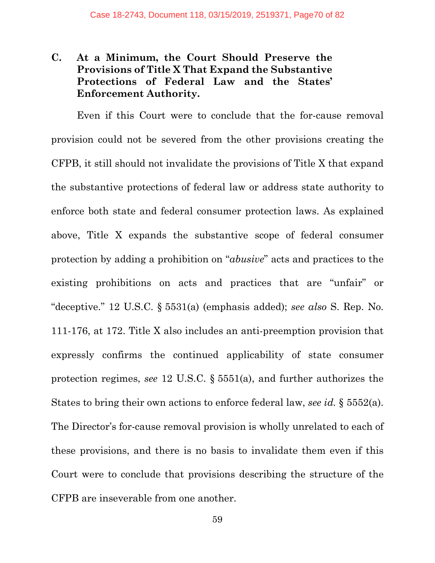## **C. At a Minimum, the Court Should Preserve the Provisions of Title X That Expand the Substantive Protections of Federal Law and the States' Enforcement Authority.**

Even if this Court were to conclude that the for-cause removal provision could not be severed from the other provisions creating the CFPB, it still should not invalidate the provisions of Title X that expand the substantive protections of federal law or address state authority to enforce both state and federal consumer protection laws. As explained above, Title X expands the substantive scope of federal consumer protection by adding a prohibition on "*abusive*" acts and practices to the existing prohibitions on acts and practices that are "unfair" or "deceptive." 12 U.S.C. § 5531(a) (emphasis added); *see also* S. Rep. No. 111-176, at 172. Title X also includes an anti-preemption provision that expressly confirms the continued applicability of state consumer protection regimes, *see* 12 U.S.C. § 5551(a), and further authorizes the States to bring their own actions to enforce federal law, *see id.* § 5552(a). The Director's for-cause removal provision is wholly unrelated to each of these provisions, and there is no basis to invalidate them even if this Court were to conclude that provisions describing the structure of the CFPB are inseverable from one another.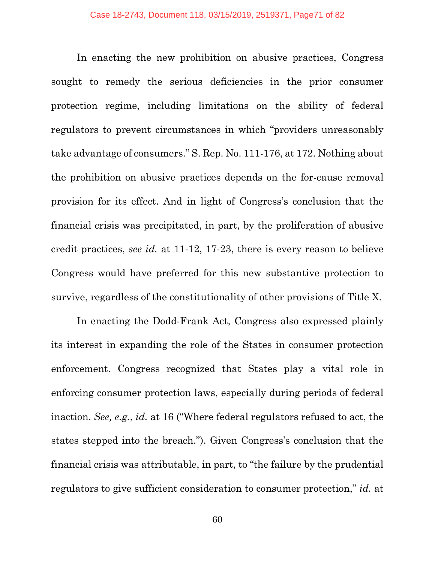In enacting the new prohibition on abusive practices, Congress sought to remedy the serious deficiencies in the prior consumer protection regime, including limitations on the ability of federal regulators to prevent circumstances in which "providers unreasonably take advantage of consumers." S. Rep. No. 111-176, at 172. Nothing about the prohibition on abusive practices depends on the for-cause removal provision for its effect. And in light of Congress's conclusion that the financial crisis was precipitated, in part, by the proliferation of abusive credit practices, *see id.* at 11-12, 17-23, there is every reason to believe Congress would have preferred for this new substantive protection to survive, regardless of the constitutionality of other provisions of Title X.

In enacting the Dodd-Frank Act, Congress also expressed plainly its interest in expanding the role of the States in consumer protection enforcement. Congress recognized that States play a vital role in enforcing consumer protection laws, especially during periods of federal inaction. *See, e.g.*, *id.* at 16 ("Where federal regulators refused to act, the states stepped into the breach."). Given Congress's conclusion that the financial crisis was attributable, in part, to "the failure by the prudential regulators to give sufficient consideration to consumer protection," *id.* at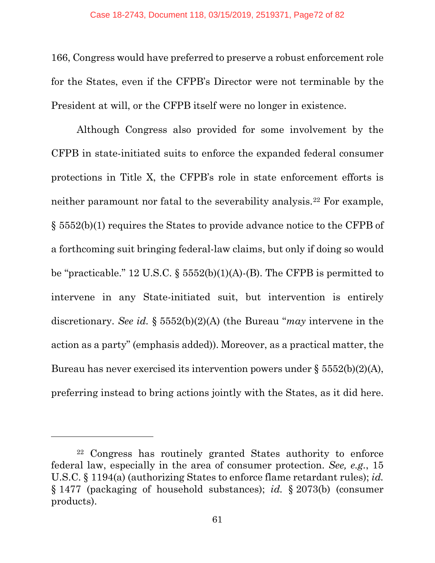166, Congress would have preferred to preserve a robust enforcement role for the States, even if the CFPB's Director were not terminable by the President at will, or the CFPB itself were no longer in existence.

Although Congress also provided for some involvement by the CFPB in state-initiated suits to enforce the expanded federal consumer protections in Title X, the CFPB's role in state enforcement efforts is neither paramount nor fatal to the severability analysis.[22](#page-71-0) For example, § 5552(b)(1) requires the States to provide advance notice to the CFPB of a forthcoming suit bringing federal-law claims, but only if doing so would be "practicable." 12 U.S.C.  $\S$  5552(b)(1)(A)-(B). The CFPB is permitted to intervene in any State-initiated suit, but intervention is entirely discretionary. *See id.* § 5552(b)(2)(A) (the Bureau "*may* intervene in the action as a party" (emphasis added)). Moreover, as a practical matter, the Bureau has never exercised its intervention powers under § 5552(b)(2)(A), preferring instead to bring actions jointly with the States, as it did here.

 $\overline{a}$ 

<span id="page-71-0"></span><sup>22</sup> Congress has routinely granted States authority to enforce federal law, especially in the area of consumer protection. *See, e.g.*, 15 U.S.C. § 1194(a) (authorizing States to enforce flame retardant rules); *id.*  § 1477 (packaging of household substances); *id.* § 2073(b) (consumer products).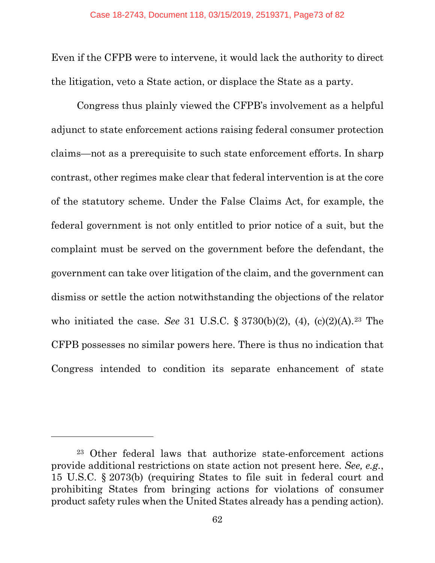Even if the CFPB were to intervene, it would lack the authority to direct the litigation, veto a State action, or displace the State as a party.

Congress thus plainly viewed the CFPB's involvement as a helpful adjunct to state enforcement actions raising federal consumer protection claims—not as a prerequisite to such state enforcement efforts. In sharp contrast, other regimes make clear that federal intervention is at the core of the statutory scheme. Under the False Claims Act, for example, the federal government is not only entitled to prior notice of a suit, but the complaint must be served on the government before the defendant, the government can take over litigation of the claim, and the government can dismiss or settle the action notwithstanding the objections of the relator who initiated the case. *See* 31 U.S.C. § 3730(b)(2), (4), (c)(2)(A).[23](#page-72-0) The CFPB possesses no similar powers here. There is thus no indication that Congress intended to condition its separate enhancement of state

<span id="page-72-0"></span><sup>23</sup> Other federal laws that authorize state-enforcement actions provide additional restrictions on state action not present here. *See, e.g.*, 15 U.S.C. § 2073(b) (requiring States to file suit in federal court and prohibiting States from bringing actions for violations of consumer product safety rules when the United States already has a pending action).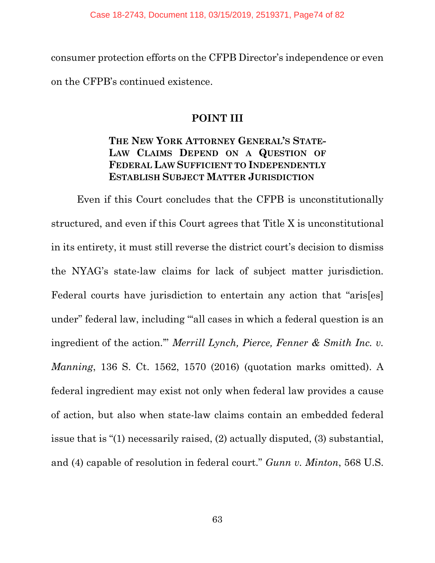consumer protection efforts on the CFPB Director's independence or even on the CFPB's continued existence.

## **POINT III**

## **THE NEW YORK ATTORNEY GENERAL'S STATE-LAW CLAIMS DEPEND ON A QUESTION OF FEDERAL LAW SUFFICIENT TO INDEPENDENTLY ESTABLISH SUBJECT MATTER JURISDICTION**

Even if this Court concludes that the CFPB is unconstitutionally structured, and even if this Court agrees that Title X is unconstitutional in its entirety, it must still reverse the district court's decision to dismiss the NYAG's state-law claims for lack of subject matter jurisdiction. Federal courts have jurisdiction to entertain any action that "aris[es] under" federal law, including "'all cases in which a federal question is an ingredient of the action.'" *Merrill Lynch, Pierce, Fenner & Smith Inc. v. Manning*, 136 S. Ct. 1562, 1570 (2016) (quotation marks omitted). A federal ingredient may exist not only when federal law provides a cause of action, but also when state-law claims contain an embedded federal issue that is "(1) necessarily raised, (2) actually disputed, (3) substantial, and (4) capable of resolution in federal court." *Gunn v. Minton*, 568 U.S.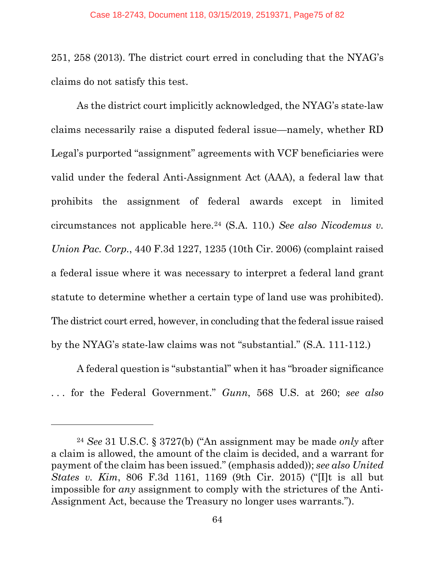251, 258 (2013). The district court erred in concluding that the NYAG's claims do not satisfy this test.

As the district court implicitly acknowledged, the NYAG's state-law claims necessarily raise a disputed federal issue—namely, whether RD Legal's purported "assignment" agreements with VCF beneficiaries were valid under the federal Anti-Assignment Act (AAA), a federal law that prohibits the assignment of federal awards except in limited circumstances not applicable here.[24](#page-74-0) (S.A. 110.) *See also Nicodemus v. Union Pac. Corp.*, 440 F.3d 1227, 1235 (10th Cir. 2006) (complaint raised a federal issue where it was necessary to interpret a federal land grant statute to determine whether a certain type of land use was prohibited). The district court erred, however, in concluding that the federal issue raised by the NYAG's state-law claims was not "substantial." (S.A. 111-112.)

A federal question is "substantial" when it has "broader significance . . . for the Federal Government." *Gunn*, 568 U.S. at 260; *see also* 

<span id="page-74-0"></span><sup>24</sup> *See* 31 U.S.C. § 3727(b) ("An assignment may be made *only* after a claim is allowed, the amount of the claim is decided, and a warrant for payment of the claim has been issued." (emphasis added)); *see also United States v. Kim*, 806 F.3d 1161, 1169 (9th Cir. 2015) ("[I]t is all but impossible for *any* assignment to comply with the strictures of the Anti-Assignment Act, because the Treasury no longer uses warrants.").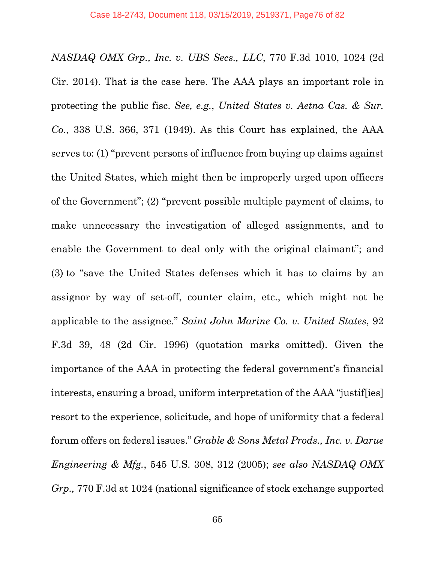*NASDAQ OMX Grp., Inc. v. UBS Secs., LLC*, 770 F.3d 1010, 1024 (2d Cir. 2014). That is the case here. The AAA plays an important role in protecting the public fisc. *See, e.g.*, *United States v. Aetna Cas. & Sur. Co.*, 338 U.S. 366, 371 (1949). As this Court has explained, the AAA serves to: (1) "prevent persons of influence from buying up claims against the United States, which might then be improperly urged upon officers of the Government"; (2) "prevent possible multiple payment of claims, to make unnecessary the investigation of alleged assignments, and to enable the Government to deal only with the original claimant"; and (3) to "save the United States defenses which it has to claims by an assignor by way of set-off, counter claim, etc., which might not be applicable to the assignee." *Saint John Marine Co. v. United States*, 92 F.3d 39, 48 (2d Cir. 1996) (quotation marks omitted). Given the importance of the AAA in protecting the federal government's financial interests, ensuring a broad, uniform interpretation of the AAA "justif[ies] resort to the experience, solicitude, and hope of uniformity that a federal forum offers on federal issues." *Grable & Sons Metal Prods., Inc. v. Darue Engineering & Mfg.*, 545 U.S. 308, 312 (2005); *see also NASDAQ OMX Grp.,* 770 F.3d at 1024 (national significance of stock exchange supported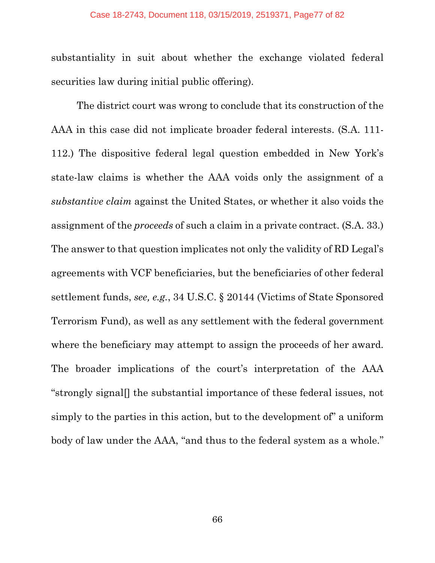substantiality in suit about whether the exchange violated federal securities law during initial public offering).

The district court was wrong to conclude that its construction of the AAA in this case did not implicate broader federal interests. (S.A. 111- 112.) The dispositive federal legal question embedded in New York's state-law claims is whether the AAA voids only the assignment of a *substantive claim* against the United States, or whether it also voids the assignment of the *proceeds* of such a claim in a private contract. (S.A. 33.) The answer to that question implicates not only the validity of RD Legal's agreements with VCF beneficiaries, but the beneficiaries of other federal settlement funds, *see, e.g.*, 34 U.S.C. § 20144 (Victims of State Sponsored Terrorism Fund), as well as any settlement with the federal government where the beneficiary may attempt to assign the proceeds of her award. The broader implications of the court's interpretation of the AAA "strongly signal[] the substantial importance of these federal issues, not simply to the parties in this action, but to the development of" a uniform body of law under the AAA, "and thus to the federal system as a whole."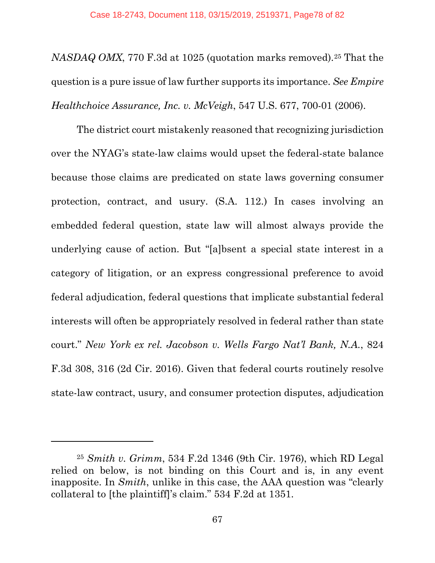*NASDAQ OMX*, 770 F.3d at 1025 (quotation marks removed).[25](#page-77-0) That the question is a pure issue of law further supports its importance. *See Empire Healthchoice Assurance, Inc. v. McVeigh*, 547 U.S. 677, 700-01 (2006).

The district court mistakenly reasoned that recognizing jurisdiction over the NYAG's state-law claims would upset the federal-state balance because those claims are predicated on state laws governing consumer protection, contract, and usury. (S.A. 112.) In cases involving an embedded federal question, state law will almost always provide the underlying cause of action. But "[a]bsent a special state interest in a category of litigation, or an express congressional preference to avoid federal adjudication, federal questions that implicate substantial federal interests will often be appropriately resolved in federal rather than state court." *New York ex rel. Jacobson v. Wells Fargo Nat'l Bank, N.A.*, 824 F.3d 308, 316 (2d Cir. 2016). Given that federal courts routinely resolve state-law contract, usury, and consumer protection disputes, adjudication

<span id="page-77-0"></span><sup>25</sup> *Smith v. Grimm*, 534 F.2d 1346 (9th Cir. 1976), which RD Legal relied on below, is not binding on this Court and is, in any event inapposite. In *Smith*, unlike in this case, the AAA question was "clearly collateral to [the plaintiff]'s claim." 534 F.2d at 1351.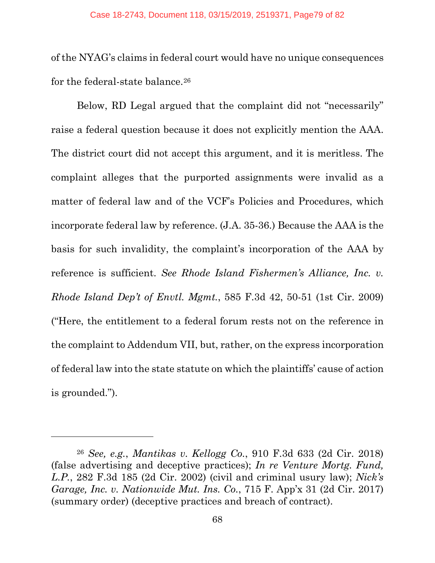of the NYAG's claims in federal court would have no unique consequences for the federal-state balance.<sup>[26](#page-78-0)</sup>

Below, RD Legal argued that the complaint did not "necessarily" raise a federal question because it does not explicitly mention the AAA. The district court did not accept this argument, and it is meritless. The complaint alleges that the purported assignments were invalid as a matter of federal law and of the VCF's Policies and Procedures, which incorporate federal law by reference. (J.A. 35-36.) Because the AAA is the basis for such invalidity, the complaint's incorporation of the AAA by reference is sufficient. *See Rhode Island Fishermen's Alliance, Inc. v. Rhode Island Dep't of Envtl. Mgmt.*, 585 F.3d 42, 50-51 (1st Cir. 2009) ("Here, the entitlement to a federal forum rests not on the reference in the complaint to Addendum VII, but, rather, on the express incorporation of federal law into the state statute on which the plaintiffs' cause of action is grounded.").

<span id="page-78-0"></span><sup>26</sup> *See, e.g.*, *Mantikas v. Kellogg Co.*, 910 F.3d 633 (2d Cir. 2018) (false advertising and deceptive practices); *In re Venture Mortg. Fund, L.P.*, 282 F.3d 185 (2d Cir. 2002) (civil and criminal usury law); *Nick's Garage, Inc. v. Nationwide Mut. Ins. Co.*, 715 F. App'x 31 (2d Cir. 2017) (summary order) (deceptive practices and breach of contract).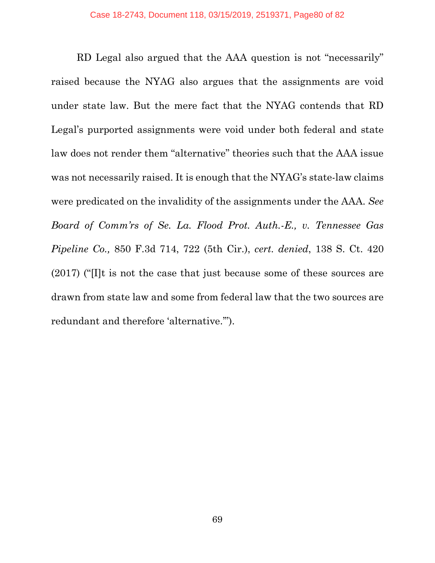RD Legal also argued that the AAA question is not "necessarily" raised because the NYAG also argues that the assignments are void under state law. But the mere fact that the NYAG contends that RD Legal's purported assignments were void under both federal and state law does not render them "alternative" theories such that the AAA issue was not necessarily raised. It is enough that the NYAG's state-law claims were predicated on the invalidity of the assignments under the AAA. *See Board of Comm'rs of Se. La. Flood Prot. Auth.-E., v. Tennessee Gas Pipeline Co.,* 850 F.3d 714, 722 (5th Cir.), *cert. denied*, 138 S. Ct. 420 (2017) ("[I]t is not the case that just because some of these sources are drawn from state law and some from federal law that the two sources are redundant and therefore 'alternative.'").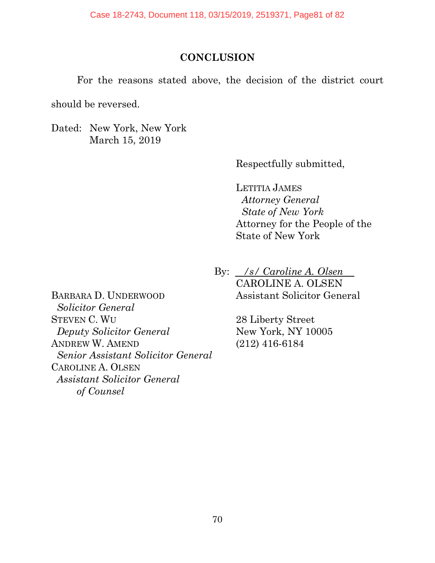## **CONCLUSION**

For the reasons stated above, the decision of the district court

should be reversed.

Dated: New York, New York March 15, 2019

Respectfully submitted,

LETITIA JAMES *Attorney General State of New York* Attorney for the People of the State of New York

By: <u>*/s/ Caroline A. Olsen*</u> CAROLINE A. OLSEN Assistant Solicitor General

> 28 Liberty Street New York, NY 10005 (212) 416-6184

BARBARA D. UNDERWOOD  *Solicitor General*  STEVEN C. WU *Deputy Solicitor General*  ANDREW W. AMEND *Senior Assistant Solicitor General*  CAROLINE A. OLSEN *Assistant Solicitor General of Counsel*